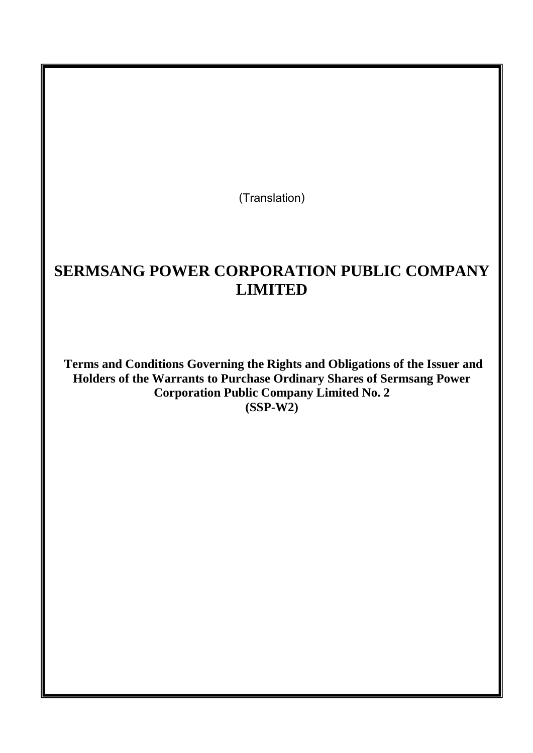**(Translation)**

# **SERMSANG POWER CORPORATION PUBLIC COMPANY LIMITED**

**Terms and Conditions Governing the Rights and Obligations of the Issuer and Holders of the Warrants to Purchase Ordinary Shares of Sermsang Power Corporation Public Company Limited No. 2 (SSP-W2)**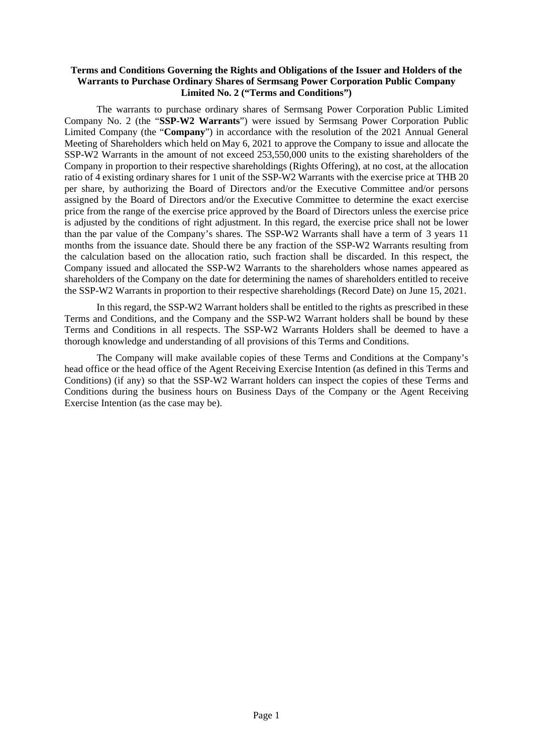#### **Terms and Conditions Governing the Rights and Obligations of the Issuer and Holders of the Warrants to Purchase Ordinary Shares of Sermsang Power Corporation Public Company Limited No. 2 ("Terms and Conditions")**

The warrants to purchase ordinary shares of Sermsang Power Corporation Public Limited Company No. 2 (the "**SSP-W2 Warrants**") were issued by Sermsang Power Corporation Public Limited Company (the "**Company**") in accordance with the resolution of the 2021 Annual General Meeting of Shareholders which held on May 6, 2021 to approve the Company to issue and allocate the SSP-W2 Warrants in the amount of not exceed 253,550,000 units to the existing shareholders of the Company in proportion to their respective shareholdings (Rights Offering), at no cost, at the allocation ratio of 4 existing ordinary shares for 1 unit of the SSP-W2 Warrants with the exercise price at THB 20 per share, by authorizing the Board of Directors and/or the Executive Committee and/or persons assigned by the Board of Directors and/or the Executive Committee to determine the exact exercise price from the range of the exercise price approved by the Board of Directors unless the exercise price is adjusted by the conditions of right adjustment. In this regard, the exercise price shall not be lower than the par value of the Company's shares. The SSP-W2 Warrants shall have a term of 3 years 11 months from the issuance date. Should there be any fraction of the SSP-W2 Warrants resulting from the calculation based on the allocation ratio, such fraction shall be discarded. In this respect, the Company issued and allocated the SSP-W2 Warrants to the shareholders whose names appeared as shareholders of the Company on the date for determining the names of shareholders entitled to receive the SSP-W2 Warrants in proportion to their respective shareholdings (Record Date) on June 15, 2021.

In this regard, the SSP-W2 Warrant holders shall be entitled to the rights as prescribed in these Terms and Conditions, and the Company and the SSP-W2 Warrant holders shall be bound by these Terms and Conditions in all respects. The SSP-W2 Warrants Holders shall be deemed to have a thorough knowledge and understanding of all provisions of this Terms and Conditions.

The Company will make available copies of these Terms and Conditions at the Company's head office or the head office of the Agent Receiving Exercise Intention (as defined in this Terms and Conditions) (if any) so that the SSP-W2 Warrant holders can inspect the copies of these Terms and Conditions during the business hours on Business Days of the Company or the Agent Receiving Exercise Intention (as the case may be).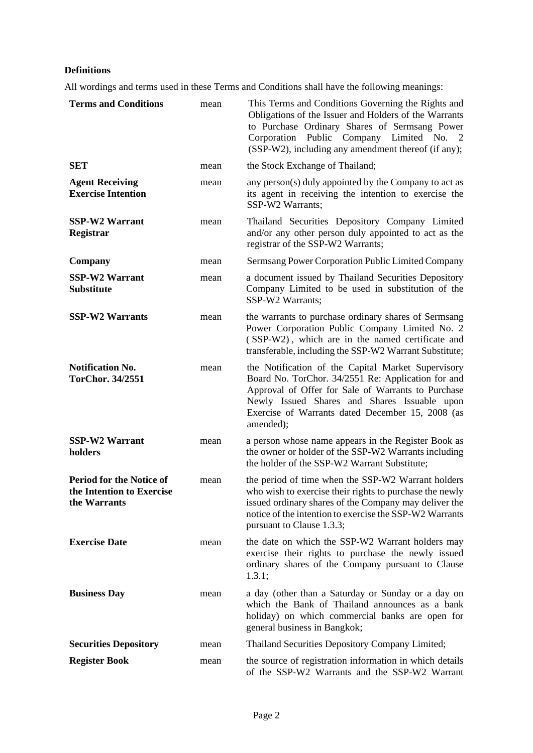### **Definitions**

All wordings and terms used in these Terms and Conditions shall have the following meanings:

| <b>Terms and Conditions</b>                                                  | mean | This Terms and Conditions Governing the Rights and<br>Obligations of the Issuer and Holders of the Warrants<br>to Purchase Ordinary Shares of Sermsang Power<br>Corporation Public Company Limited No. 2<br>(SSP-W2), including any amendment thereof (if any);                 |
|------------------------------------------------------------------------------|------|---------------------------------------------------------------------------------------------------------------------------------------------------------------------------------------------------------------------------------------------------------------------------------|
| <b>SET</b>                                                                   | mean | the Stock Exchange of Thailand;                                                                                                                                                                                                                                                 |
| <b>Agent Receiving</b><br><b>Exercise Intention</b>                          | mean | any person(s) duly appointed by the Company to act as<br>its agent in receiving the intention to exercise the<br>SSP-W2 Warrants;                                                                                                                                               |
| <b>SSP-W2 Warrant</b><br>Registrar                                           | mean | Thailand Securities Depository Company Limited<br>and/or any other person duly appointed to act as the<br>registrar of the SSP-W2 Warrants;                                                                                                                                     |
| Company                                                                      | mean | Sermsang Power Corporation Public Limited Company                                                                                                                                                                                                                               |
| <b>SSP-W2 Warrant</b><br><b>Substitute</b>                                   | mean | a document issued by Thailand Securities Depository<br>Company Limited to be used in substitution of the<br>SSP-W2 Warrants;                                                                                                                                                    |
| <b>SSP-W2 Warrants</b>                                                       | mean | the warrants to purchase ordinary shares of Sermsang<br>Power Corporation Public Company Limited No. 2<br>(SSP-W2), which are in the named certificate and<br>transferable, including the SSP-W2 Warrant Substitute;                                                            |
| <b>Notification No.</b><br><b>TorChor. 34/2551</b>                           | mean | the Notification of the Capital Market Supervisory<br>Board No. TorChor. 34/2551 Re: Application for and<br>Approval of Offer for Sale of Warrants to Purchase<br>Newly Issued Shares and Shares Issuable upon<br>Exercise of Warrants dated December 15, 2008 (as<br>amended); |
| <b>SSP-W2 Warrant</b><br>holders                                             | mean | a person whose name appears in the Register Book as<br>the owner or holder of the SSP-W2 Warrants including<br>the holder of the SSP-W2 Warrant Substitute;                                                                                                                     |
| <b>Period for the Notice of</b><br>the Intention to Exercise<br>the Warrants | mean | the period of time when the SSP-W2 Warrant holders<br>who wish to exercise their rights to purchase the newly<br>issued ordinary shares of the Company may deliver the<br>notice of the intention to exercise the SSP-W2 Warrants<br>pursuant to Clause 1.3.3;                  |
| <b>Exercise Date</b>                                                         | mean | the date on which the SSP-W2 Warrant holders may<br>exercise their rights to purchase the newly issued<br>ordinary shares of the Company pursuant to Clause<br>1.3.1;                                                                                                           |
| <b>Business Day</b>                                                          | mean | a day (other than a Saturday or Sunday or a day on<br>which the Bank of Thailand announces as a bank<br>holiday) on which commercial banks are open for<br>general business in Bangkok;                                                                                         |
| <b>Securities Depository</b>                                                 | mean | Thailand Securities Depository Company Limited;                                                                                                                                                                                                                                 |
| <b>Register Book</b>                                                         | mean | the source of registration information in which details<br>of the SSP-W2 Warrants and the SSP-W2 Warrant                                                                                                                                                                        |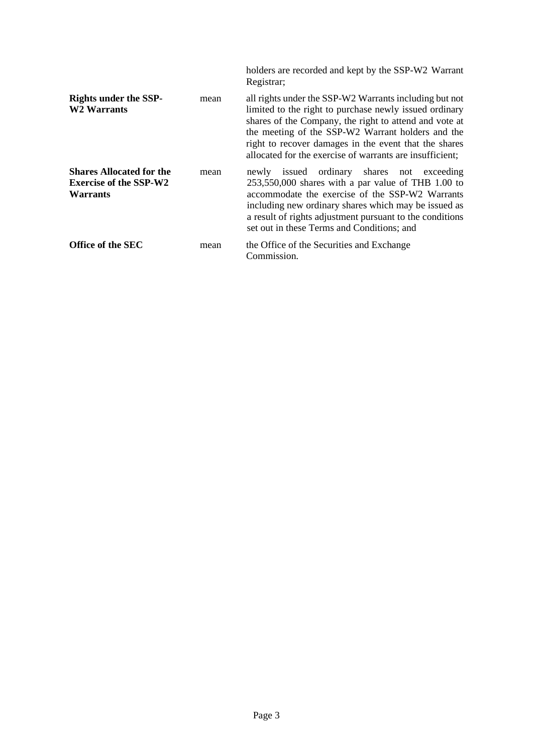|                                                                                     |      | holders are recorded and kept by the SSP-W2 Warrant<br>Registrar;                                                                                                                                                                                                                                                                                    |
|-------------------------------------------------------------------------------------|------|------------------------------------------------------------------------------------------------------------------------------------------------------------------------------------------------------------------------------------------------------------------------------------------------------------------------------------------------------|
| <b>Rights under the SSP-</b><br><b>W2 Warrants</b>                                  | mean | all rights under the SSP-W2 Warrants including but not<br>limited to the right to purchase newly issued ordinary<br>shares of the Company, the right to attend and vote at<br>the meeting of the SSP-W2 Warrant holders and the<br>right to recover damages in the event that the shares<br>allocated for the exercise of warrants are insufficient; |
| <b>Shares Allocated for the</b><br><b>Exercise of the SSP-W2</b><br><b>Warrants</b> | mean | newly issued ordinary shares not exceeding<br>$253,550,000$ shares with a par value of THB 1.00 to<br>accommodate the exercise of the SSP-W2 Warrants<br>including new ordinary shares which may be issued as<br>a result of rights adjustment pursuant to the conditions<br>set out in these Terms and Conditions; and                              |
| Office of the SEC                                                                   | mean | the Office of the Securities and Exchange<br>Commission.                                                                                                                                                                                                                                                                                             |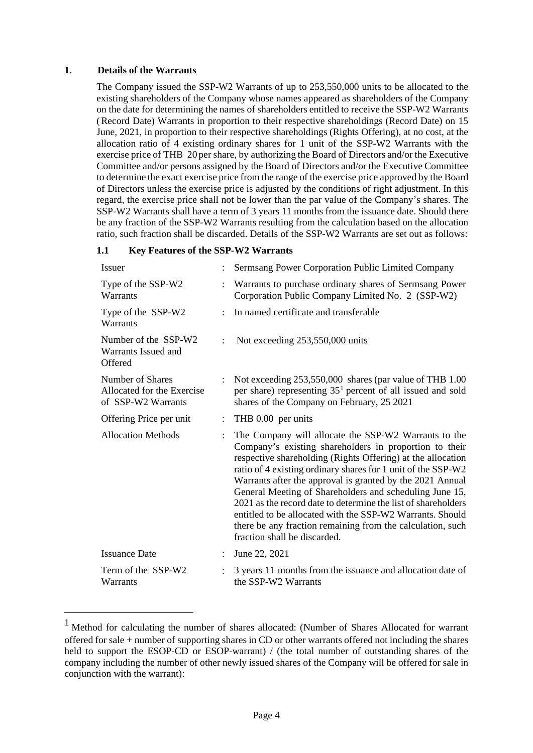#### **1. Details of the Warrants**

The Company issued the SSP-W2 Warrants of up to 253,550,000 units to be allocated to the existing shareholders of the Company whose names appeared as shareholders of the Company on the date for determining the names of shareholders entitled to receive the SSP-W2 Warrants (Record Date) Warrants in proportion to their respective shareholdings (Record Date) on 15 June, 2021, in proportion to their respective shareholdings (Rights Offering), at no cost, at the allocation ratio of 4 existing ordinary shares for 1 unit of the SSP-W2 Warrants with the exercise price of THB 20 per share, by authorizing the Board of Directors and/or the Executive Committee and/or persons assigned by the Board of Directors and/or the Executive Committee to determine the exact exercise price from the range of the exercise price approved by the Board of Directors unless the exercise price is adjusted by the conditions of right adjustment. In this regard, the exercise price shall not be lower than the par value of the Company's shares. The SSP-W2 Warrants shall have a term of 3 years 11 months from the issuance date. Should there be any fraction of the SSP-W2 Warrants resulting from the calculation based on the allocation ratio, such fraction shall be discarded. Details of the SSP-W2 Warrants are set out as follows:

#### **1.1 Key Features of the SSP-W2 Warrants**

| <b>Issuer</b>                                                        |                | Sermsang Power Corporation Public Limited Company                                                                                                                                                                                                                                                                                                                                                                                                                                                                                                                                                 |
|----------------------------------------------------------------------|----------------|---------------------------------------------------------------------------------------------------------------------------------------------------------------------------------------------------------------------------------------------------------------------------------------------------------------------------------------------------------------------------------------------------------------------------------------------------------------------------------------------------------------------------------------------------------------------------------------------------|
| Type of the SSP-W2<br>Warrants                                       |                | Warrants to purchase ordinary shares of Sermsang Power<br>Corporation Public Company Limited No. 2 (SSP-W2)                                                                                                                                                                                                                                                                                                                                                                                                                                                                                       |
| Type of the SSP-W2<br>Warrants                                       |                | In named certificate and transferable                                                                                                                                                                                                                                                                                                                                                                                                                                                                                                                                                             |
| Number of the SSP-W2<br>Warrants Issued and<br>Offered               |                | Not exceeding 253,550,000 units                                                                                                                                                                                                                                                                                                                                                                                                                                                                                                                                                                   |
| Number of Shares<br>Allocated for the Exercise<br>of SSP-W2 Warrants |                | Not exceeding 253,550,000 shares (par value of THB 1.00<br>per share) representing $351$ percent of all issued and sold<br>shares of the Company on February, 25 2021                                                                                                                                                                                                                                                                                                                                                                                                                             |
| Offering Price per unit                                              | $\ddot{\cdot}$ | THB 0.00 per units                                                                                                                                                                                                                                                                                                                                                                                                                                                                                                                                                                                |
| <b>Allocation Methods</b>                                            |                | The Company will allocate the SSP-W2 Warrants to the<br>Company's existing shareholders in proportion to their<br>respective shareholding (Rights Offering) at the allocation<br>ratio of 4 existing ordinary shares for 1 unit of the SSP-W2<br>Warrants after the approval is granted by the 2021 Annual<br>General Meeting of Shareholders and scheduling June 15,<br>2021 as the record date to determine the list of shareholders<br>entitled to be allocated with the SSP-W2 Warrants. Should<br>there be any fraction remaining from the calculation, such<br>fraction shall be discarded. |
| <b>Issuance Date</b>                                                 |                | June 22, 2021                                                                                                                                                                                                                                                                                                                                                                                                                                                                                                                                                                                     |
| Term of the SSP-W2<br>Warrants                                       |                | 3 years 11 months from the issuance and allocation date of<br>the SSP-W2 Warrants                                                                                                                                                                                                                                                                                                                                                                                                                                                                                                                 |

<span id="page-4-0"></span><sup>1</sup> Method for calculating the number of shares allocated: (Number of Shares Allocated for warrant offered for sale + number of supporting shares in CD or other warrants offered not including the shares held to support the ESOP-CD or ESOP-warrant) / (the total number of outstanding shares of the company including the number of other newly issued shares of the Company will be offered for sale in conjunction with the warrant):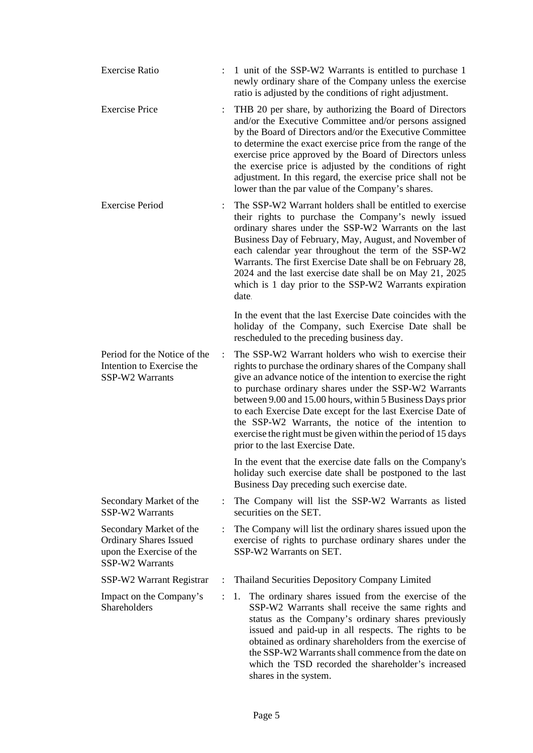| <b>Exercise Ratio</b>                                                                                   |                      | 1 unit of the SSP-W2 Warrants is entitled to purchase 1<br>newly ordinary share of the Company unless the exercise<br>ratio is adjusted by the conditions of right adjustment.                                                                                                                                                                                                                                                                                                                                                         |
|---------------------------------------------------------------------------------------------------------|----------------------|----------------------------------------------------------------------------------------------------------------------------------------------------------------------------------------------------------------------------------------------------------------------------------------------------------------------------------------------------------------------------------------------------------------------------------------------------------------------------------------------------------------------------------------|
| <b>Exercise Price</b>                                                                                   |                      | THB 20 per share, by authorizing the Board of Directors<br>and/or the Executive Committee and/or persons assigned<br>by the Board of Directors and/or the Executive Committee<br>to determine the exact exercise price from the range of the<br>exercise price approved by the Board of Directors unless<br>the exercise price is adjusted by the conditions of right<br>adjustment. In this regard, the exercise price shall not be<br>lower than the par value of the Company's shares.                                              |
| <b>Exercise Period</b>                                                                                  |                      | The SSP-W2 Warrant holders shall be entitled to exercise<br>their rights to purchase the Company's newly issued<br>ordinary shares under the SSP-W2 Warrants on the last<br>Business Day of February, May, August, and November of<br>each calendar year throughout the term of the SSP-W2<br>Warrants. The first Exercise Date shall be on February 28,<br>2024 and the last exercise date shall be on May 21, 2025<br>which is 1 day prior to the SSP-W2 Warrants expiration<br>date.                                                |
|                                                                                                         |                      | In the event that the last Exercise Date coincides with the<br>holiday of the Company, such Exercise Date shall be<br>rescheduled to the preceding business day.                                                                                                                                                                                                                                                                                                                                                                       |
| Period for the Notice of the<br>Intention to Exercise the<br>SSP-W2 Warrants                            | $\ddot{\cdot}$       | The SSP-W2 Warrant holders who wish to exercise their<br>rights to purchase the ordinary shares of the Company shall<br>give an advance notice of the intention to exercise the right<br>to purchase ordinary shares under the SSP-W2 Warrants<br>between 9.00 and 15.00 hours, within 5 Business Days prior<br>to each Exercise Date except for the last Exercise Date of<br>the SSP-W2 Warrants, the notice of the intention to<br>exercise the right must be given within the period of 15 days<br>prior to the last Exercise Date. |
|                                                                                                         |                      | In the event that the exercise date falls on the Company's<br>holiday such exercise date shall be postponed to the last<br>Business Day preceding such exercise date.                                                                                                                                                                                                                                                                                                                                                                  |
| Secondary Market of the<br>SSP-W2 Warrants                                                              | $\ddot{\phantom{a}}$ | The Company will list the SSP-W2 Warrants as listed<br>securities on the SET.                                                                                                                                                                                                                                                                                                                                                                                                                                                          |
| Secondary Market of the<br><b>Ordinary Shares Issued</b><br>upon the Exercise of the<br>SSP-W2 Warrants |                      | The Company will list the ordinary shares issued upon the<br>exercise of rights to purchase ordinary shares under the<br>SSP-W2 Warrants on SET.                                                                                                                                                                                                                                                                                                                                                                                       |
| SSP-W2 Warrant Registrar                                                                                | $\ddot{\cdot}$       | Thailand Securities Depository Company Limited                                                                                                                                                                                                                                                                                                                                                                                                                                                                                         |
| Impact on the Company's<br>Shareholders                                                                 | $\ddot{\cdot}$       | The ordinary shares issued from the exercise of the<br>1.<br>SSP-W2 Warrants shall receive the same rights and<br>status as the Company's ordinary shares previously<br>issued and paid-up in all respects. The rights to be<br>obtained as ordinary shareholders from the exercise of<br>the SSP-W2 Warrants shall commence from the date on<br>which the TSD recorded the shareholder's increased<br>shares in the system.                                                                                                           |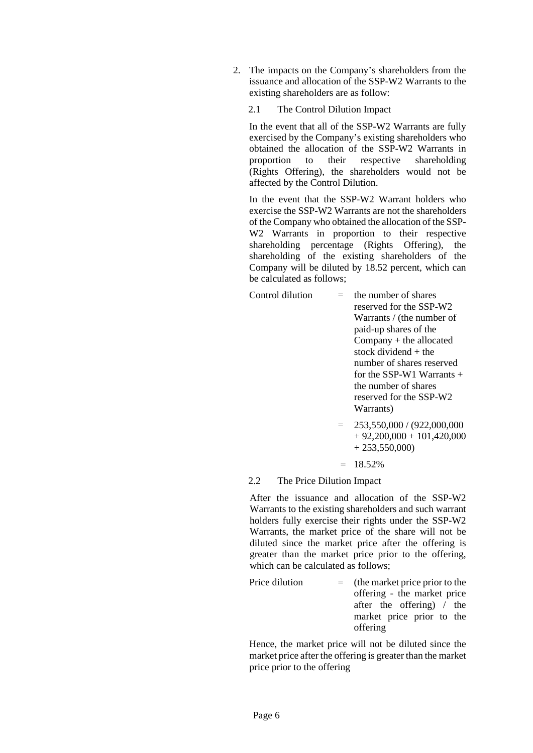2. The impacts on the Company's shareholders from the issuance and allocation of the SSP-W2 Warrants to the existing shareholders are as follow:

#### 2.1 The Control Dilution Impact

In the event that all of the SSP-W2 Warrants are fully exercised by the Company's existing shareholders who obtained the allocation of the SSP-W2 Warrants in proportion to their respective shareholding (Rights Offering), the shareholders would not be affected by the Control Dilution.

In the event that the SSP-W2 Warrant holders who exercise the SSP-W2 Warrants are not the shareholders of the Company who obtained the allocation of the SSP-W2 Warrants in proportion to their respective shareholding percentage (Rights Offering), the shareholding of the existing shareholders of the Company will be diluted by 18.52 percent, which can be calculated as follows;

Control dilution  $=$  the number of shares

reserved for the SSP-W2 Warrants / (the number of paid-up shares of the Company + the allocated stock dividend + the number of shares reserved for the SSP-W1 Warrants  $+$ the number of shares reserved for the SSP-W2 Warrants)

- $= 253,550,000 / (922,000,000)$  $+ 92,200,000 + 101,420,000$  $+ 253,550,000$
- $= 18.52\%$

#### 2.2 The Price Dilution Impact

After the issuance and allocation of the SSP-W2 Warrants to the existing shareholders and such warrant holders fully exercise their rights under the SSP-W2 Warrants, the market price of the share will not be diluted since the market price after the offering is greater than the market price prior to the offering, which can be calculated as follows;

Price dilution  $=$  (the market price prior to the offering - the market price after the offering) / the market price prior to the offering

Hence, the market price will not be diluted since the market price after the offering is greater than the market price prior to the offering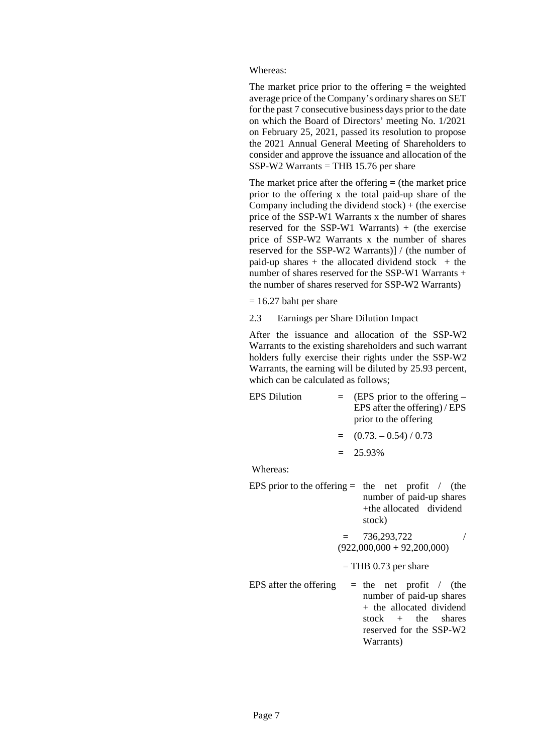Whereas:

The market price prior to the offering  $=$  the weighted average price of the Company's ordinary shares on SET for the past 7 consecutive business days prior to the date on which the Board of Directors' meeting No. 1/2021 on February 25, 2021, passed its resolution to propose the 2021 Annual General Meeting of Shareholders to consider and approve the issuance and allocation of the  $SSP-W2$  Warrants = THB 15.76 per share

The market price after the offering  $=$  (the market price prior to the offering x the total paid-up share of the Company including the dividend stock)  $+$  (the exercise price of the SSP-W1 Warrants x the number of shares reserved for the SSP-W1 Warrants) + (the exercise price of SSP-W2 Warrants x the number of shares reserved for the SSP-W2 Warrants)] / (the number of paid-up shares  $+$  the allocated dividend stock  $+$  the number of shares reserved for the SSP-W1 Warrants + the number of shares reserved for SSP-W2 Warrants)

- $= 16.27$  baht per share
- 2.3 Earnings per Share Dilution Impact

After the issuance and allocation of the SSP-W2 Warrants to the existing shareholders and such warrant holders fully exercise their rights under the SSP-W2 Warrants, the earning will be diluted by 25.93 percent, which can be calculated as follows;

| <b>EPS</b> Dilution | $=$ (EPS prior to the offering –<br>EPS after the offering) / EPS<br>prior to the offering |
|---------------------|--------------------------------------------------------------------------------------------|
|                     | $=$ (0.73. $-$ 0.54) / 0.73                                                                |
|                     | $= 25.93\%$                                                                                |

Whereas:

- EPS prior to the offering  $=$  the net profit / (the number of paid-up shares +the allocated dividend stock)
	- $= 736,293,722$  $(922,000,000 + 92,200,000)$
	- $=$  THB 0.73 per share
- EPS after the offering  $=$  the net profit / (the number of paid-up shares + the allocated dividend<br>stock + the shares stock + the shares reserved for the SSP-W2 Warrants)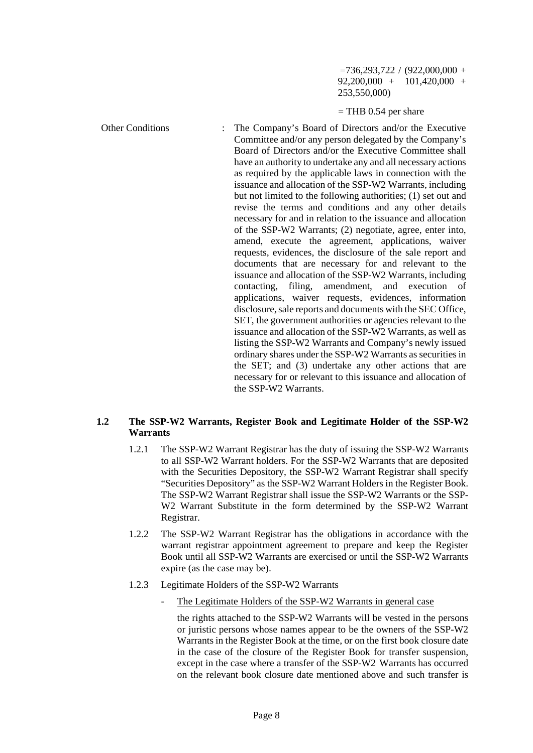$=736,293,722 / (922,000,000 +$ 92,200,000 + 101,420,000 + 253,550,000)

#### $=$  THB 0.54 per share

Other Conditions : The Company's Board of Directors and/or the Executive Committee and/or any person delegated by the Company's Board of Directors and/or the Executive Committee shall have an authority to undertake any and all necessary actions as required by the applicable laws in connection with the issuance and allocation of the SSP-W2 Warrants, including but not limited to the following authorities; (1) set out and revise the terms and conditions and any other details necessary for and in relation to the issuance and allocation of the SSP-W2 Warrants; (2) negotiate, agree, enter into, amend, execute the agreement, applications, waiver requests, evidences, the disclosure of the sale report and documents that are necessary for and relevant to the issuance and allocation of the SSP-W2 Warrants, including contacting, filing, amendment, and execution of applications, waiver requests, evidences, information disclosure, sale reports and documents with the SEC Office, SET, the government authorities or agencies relevant to the issuance and allocation of the SSP-W2 Warrants, as well as listing the SSP-W2 Warrants and Company's newly issued ordinary shares under the SSP-W2 Warrants as securities in the SET; and (3) undertake any other actions that are necessary for or relevant to this issuance and allocation of the SSP-W2 Warrants.

#### **1.2 The SSP-W2 Warrants, Register Book and Legitimate Holder of the SSP-W2 Warrants**

- 1.2.1 The SSP-W2 Warrant Registrar has the duty of issuing the SSP-W2 Warrants to all SSP-W2 Warrant holders. For the SSP-W2 Warrants that are deposited with the Securities Depository, the SSP-W2 Warrant Registrar shall specify "Securities Depository" as the SSP-W2 Warrant Holders in the Register Book. The SSP-W2 Warrant Registrar shall issue the SSP-W2 Warrants or the SSP-W2 Warrant Substitute in the form determined by the SSP-W2 Warrant Registrar.
- 1.2.2 The SSP-W2 Warrant Registrar has the obligations in accordance with the warrant registrar appointment agreement to prepare and keep the Register Book until all SSP-W2 Warrants are exercised or until the SSP-W2 Warrants expire (as the case may be).
- 1.2.3 Legitimate Holders of the SSP-W2 Warrants
	- The Legitimate Holders of the SSP-W2 Warrants in general case

the rights attached to the SSP-W2 Warrants will be vested in the persons or juristic persons whose names appear to be the owners of the SSP-W2 Warrants in the Register Book at the time, or on the first book closure date in the case of the closure of the Register Book for transfer suspension, except in the case where a transfer of the SSP-W2 Warrants has occurred on the relevant book closure date mentioned above and such transfer is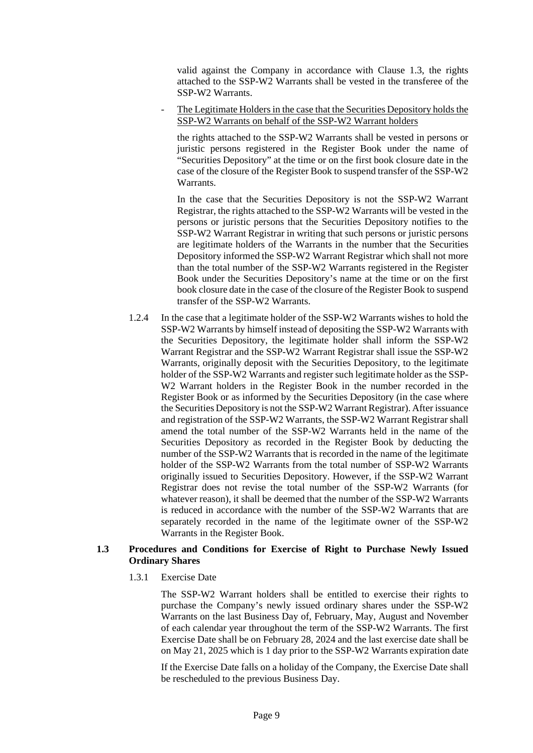valid against the Company in accordance with Clause 1.3, the rights attached to the SSP-W2 Warrants shall be vested in the transferee of the SSP-W2 Warrants.

The Legitimate Holders in the case that the Securities Depository holds the SSP-W2 Warrants on behalf of the SSP-W2 Warrant holders

the rights attached to the SSP-W2 Warrants shall be vested in persons or juristic persons registered in the Register Book under the name of "Securities Depository" at the time or on the first book closure date in the case of the closure of the Register Book to suspend transfer of the SSP-W2 Warrants.

In the case that the Securities Depository is not the SSP-W2 Warrant Registrar, the rights attached to the SSP-W2 Warrants will be vested in the persons or juristic persons that the Securities Depository notifies to the SSP-W2 Warrant Registrar in writing that such persons or juristic persons are legitimate holders of the Warrants in the number that the Securities Depository informed the SSP-W2 Warrant Registrar which shall not more than the total number of the SSP-W2 Warrants registered in the Register Book under the Securities Depository's name at the time or on the first book closure date in the case of the closure of the Register Book to suspend transfer of the SSP-W2 Warrants.

1.2.4 In the case that a legitimate holder of the SSP-W2 Warrants wishes to hold the SSP-W2 Warrants by himself instead of depositing the SSP-W2 Warrants with the Securities Depository, the legitimate holder shall inform the SSP-W2 Warrant Registrar and the SSP-W2 Warrant Registrar shall issue the SSP-W2 Warrants, originally deposit with the Securities Depository, to the legitimate holder of the SSP-W2 Warrants and register such legitimate holder as the SSP-W2 Warrant holders in the Register Book in the number recorded in the Register Book or as informed by the Securities Depository (in the case where the Securities Depository is not the SSP-W2 Warrant Registrar). After issuance and registration of the SSP-W2 Warrants, the SSP-W2 Warrant Registrar shall amend the total number of the SSP-W2 Warrants held in the name of the Securities Depository as recorded in the Register Book by deducting the number of the SSP-W2 Warrants that is recorded in the name of the legitimate holder of the SSP-W2 Warrants from the total number of SSP-W2 Warrants originally issued to Securities Depository. However, if the SSP-W2 Warrant Registrar does not revise the total number of the SSP-W2 Warrants (for whatever reason), it shall be deemed that the number of the SSP-W2 Warrants is reduced in accordance with the number of the SSP-W2 Warrants that are separately recorded in the name of the legitimate owner of the SSP-W2 Warrants in the Register Book.

#### **1.3 Procedures and Conditions for Exercise of Right to Purchase Newly Issued Ordinary Shares**

1.3.1 Exercise Date

The SSP-W2 Warrant holders shall be entitled to exercise their rights to purchase the Company's newly issued ordinary shares under the SSP-W2 Warrants on the last Business Day of, February, May, August and November of each calendar year throughout the term of the SSP-W2 Warrants. The first Exercise Date shall be on February 28, 2024 and the last exercise date shall be on May 21, 2025 which is 1 day prior to the SSP-W2 Warrants expiration date

If the Exercise Date falls on a holiday of the Company, the Exercise Date shall be rescheduled to the previous Business Day.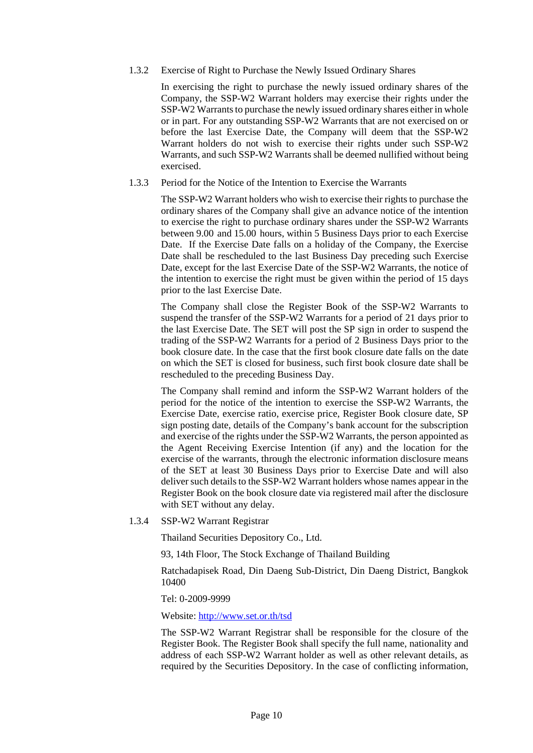1.3.2 Exercise of Right to Purchase the Newly Issued Ordinary Shares

In exercising the right to purchase the newly issued ordinary shares of the Company, the SSP-W2 Warrant holders may exercise their rights under the SSP-W2 Warrants to purchase the newly issued ordinary shares either in whole or in part. For any outstanding SSP-W2 Warrants that are not exercised on or before the last Exercise Date, the Company will deem that the SSP-W2 Warrant holders do not wish to exercise their rights under such SSP-W2 Warrants, and such SSP-W2 Warrants shall be deemed nullified without being exercised.

#### 1.3.3 Period for the Notice of the Intention to Exercise the Warrants

The SSP-W2 Warrant holders who wish to exercise their rights to purchase the ordinary shares of the Company shall give an advance notice of the intention to exercise the right to purchase ordinary shares under the SSP-W2 Warrants between 9.00 and 15.00 hours, within 5 Business Days prior to each Exercise Date. If the Exercise Date falls on a holiday of the Company, the Exercise Date shall be rescheduled to the last Business Day preceding such Exercise Date, except for the last Exercise Date of the SSP-W2 Warrants, the notice of the intention to exercise the right must be given within the period of 15 days prior to the last Exercise Date.

The Company shall close the Register Book of the SSP-W2 Warrants to suspend the transfer of the SSP-W2 Warrants for a period of 21 days prior to the last Exercise Date. The SET will post the SP sign in order to suspend the trading of the SSP-W2 Warrants for a period of 2 Business Days prior to the book closure date. In the case that the first book closure date falls on the date on which the SET is closed for business, such first book closure date shall be rescheduled to the preceding Business Day.

The Company shall remind and inform the SSP-W2 Warrant holders of the period for the notice of the intention to exercise the SSP-W2 Warrants, the Exercise Date, exercise ratio, exercise price, Register Book closure date, SP sign posting date, details of the Company's bank account for the subscription and exercise of the rights under the SSP-W2 Warrants, the person appointed as the Agent Receiving Exercise Intention (if any) and the location for the exercise of the warrants, through the electronic information disclosure means of the SET at least 30 Business Days prior to Exercise Date and will also deliver such details to the SSP-W2 Warrant holders whose names appear in the Register Book on the book closure date via registered mail after the disclosure with SET without any delay.

#### 1.3.4 SSP-W2 Warrant Registrar

Thailand Securities Depository Co., Ltd.

93, 14th Floor, The Stock Exchange of Thailand Building

Ratchadapisek Road, Din Daeng Sub-District, Din Daeng District, Bangkok 10400

#### Tel: 0-2009-9999

Website:<http://www.set.or.th/tsd>

The SSP-W2 Warrant Registrar shall be responsible for the closure of the Register Book. The Register Book shall specify the full name, nationality and address of each SSP-W2 Warrant holder as well as other relevant details, as required by the Securities Depository. In the case of conflicting information,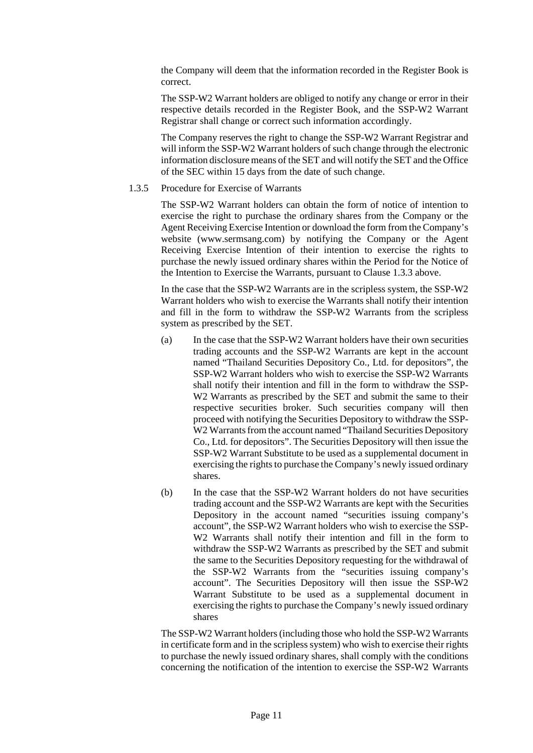the Company will deem that the information recorded in the Register Book is correct.

The SSP-W2 Warrant holders are obliged to notify any change or error in their respective details recorded in the Register Book, and the SSP-W2 Warrant Registrar shall change or correct such information accordingly.

The Company reserves the right to change the SSP-W2 Warrant Registrar and will inform the SSP-W2 Warrant holders of such change through the electronic information disclosure means of the SET and will notify the SET and the Office of the SEC within 15 days from the date of such change.

1.3.5 Procedure for Exercise of Warrants

The SSP-W2 Warrant holders can obtain the form of notice of intention to exercise the right to purchase the ordinary shares from the Company or the Agent Receiving Exercise Intention or download the form from the Company's website (www.sermsang.com) by notifying the Company or the Agent Receiving Exercise Intention of their intention to exercise the rights to purchase the newly issued ordinary shares within the Period for the Notice of the Intention to Exercise the Warrants, pursuant to Clause 1.3.3 above.

In the case that the SSP-W2 Warrants are in the scripless system, the SSP-W2 Warrant holders who wish to exercise the Warrants shall notify their intention and fill in the form to withdraw the SSP-W2 Warrants from the scripless system as prescribed by the SET.

- (a) In the case that the SSP-W2 Warrant holders have their own securities trading accounts and the SSP-W2 Warrants are kept in the account named "Thailand Securities Depository Co., Ltd. for depositors", the SSP-W2 Warrant holders who wish to exercise the SSP-W2 Warrants shall notify their intention and fill in the form to withdraw the SSP-W<sub>2</sub> Warrants as prescribed by the SET and submit the same to their respective securities broker. Such securities company will then proceed with notifying the Securities Depository to withdraw the SSP-W2 Warrants from the account named "Thailand Securities Depository Co., Ltd. for depositors". The Securities Depository will then issue the SSP-W2 Warrant Substitute to be used as a supplemental document in exercising the rights to purchase the Company's newly issued ordinary shares.
- (b) In the case that the SSP-W2 Warrant holders do not have securities trading account and the SSP-W2 Warrants are kept with the Securities Depository in the account named "securities issuing company's account", the SSP-W2 Warrant holders who wish to exercise the SSP-W2 Warrants shall notify their intention and fill in the form to withdraw the SSP-W2 Warrants as prescribed by the SET and submit the same to the Securities Depository requesting for the withdrawal of the SSP-W2 Warrants from the "securities issuing company's account". The Securities Depository will then issue the SSP-W2 Warrant Substitute to be used as a supplemental document in exercising the rights to purchase the Company's newly issued ordinary shares

The SSP-W2 Warrant holders (including those who hold the SSP-W2 Warrants in certificate form and in the scripless system) who wish to exercise their rights to purchase the newly issued ordinary shares, shall comply with the conditions concerning the notification of the intention to exercise the SSP-W2 Warrants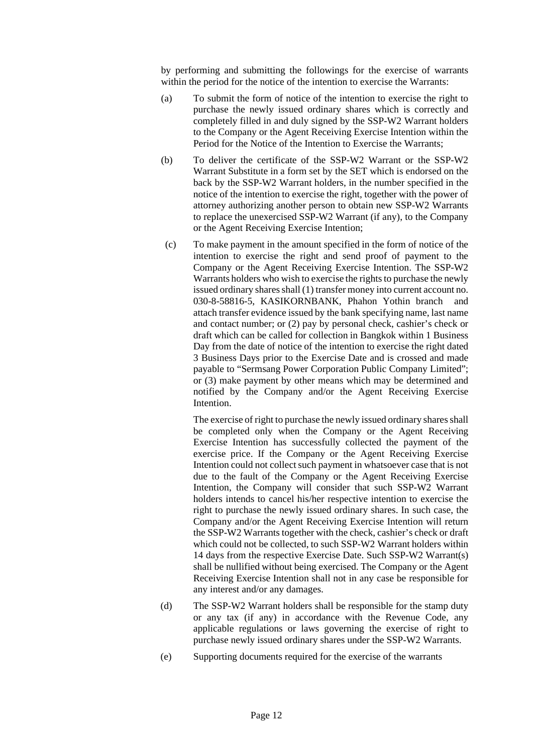by performing and submitting the followings for the exercise of warrants within the period for the notice of the intention to exercise the Warrants:

- (a) To submit the form of notice of the intention to exercise the right to purchase the newly issued ordinary shares which is correctly and completely filled in and duly signed by the SSP-W2 Warrant holders to the Company or the Agent Receiving Exercise Intention within the Period for the Notice of the Intention to Exercise the Warrants;
- (b) To deliver the certificate of the SSP-W2 Warrant or the SSP-W2 Warrant Substitute in a form set by the SET which is endorsed on the back by the SSP-W2 Warrant holders, in the number specified in the notice of the intention to exercise the right, together with the power of attorney authorizing another person to obtain new SSP-W2 Warrants to replace the unexercised SSP-W2 Warrant (if any), to the Company or the Agent Receiving Exercise Intention;
- (c) To make payment in the amount specified in the form of notice of the intention to exercise the right and send proof of payment to the Company or the Agent Receiving Exercise Intention. The SSP-W2 Warrants holders who wish to exercise the rights to purchase the newly issued ordinary shares shall (1) transfer money into current account no. 030-8-58816-5, KASIKORNBANK, Phahon Yothin branch and attach transfer evidence issued by the bank specifying name, last name and contact number; or (2) pay by personal check, cashier's check or draft which can be called for collection in Bangkok within 1 Business Day from the date of notice of the intention to exercise the right dated 3 Business Days prior to the Exercise Date and is crossed and made payable to "Sermsang Power Corporation Public Company Limited"; or (3) make payment by other means which may be determined and notified by the Company and/or the Agent Receiving Exercise Intention.

The exercise of right to purchase the newly issued ordinary shares shall be completed only when the Company or the Agent Receiving Exercise Intention has successfully collected the payment of the exercise price. If the Company or the Agent Receiving Exercise Intention could not collect such payment in whatsoever case that is not due to the fault of the Company or the Agent Receiving Exercise Intention, the Company will consider that such SSP-W2 Warrant holders intends to cancel his/her respective intention to exercise the right to purchase the newly issued ordinary shares. In such case, the Company and/or the Agent Receiving Exercise Intention will return the SSP-W2 Warrants together with the check, cashier's check or draft which could not be collected, to such SSP-W2 Warrant holders within 14 days from the respective Exercise Date. Such SSP-W2 Warrant(s) shall be nullified without being exercised. The Company or the Agent Receiving Exercise Intention shall not in any case be responsible for any interest and/or any damages.

- (d) The SSP-W2 Warrant holders shall be responsible for the stamp duty or any tax (if any) in accordance with the Revenue Code, any applicable regulations or laws governing the exercise of right to purchase newly issued ordinary shares under the SSP-W2 Warrants.
- (e) Supporting documents required for the exercise of the warrants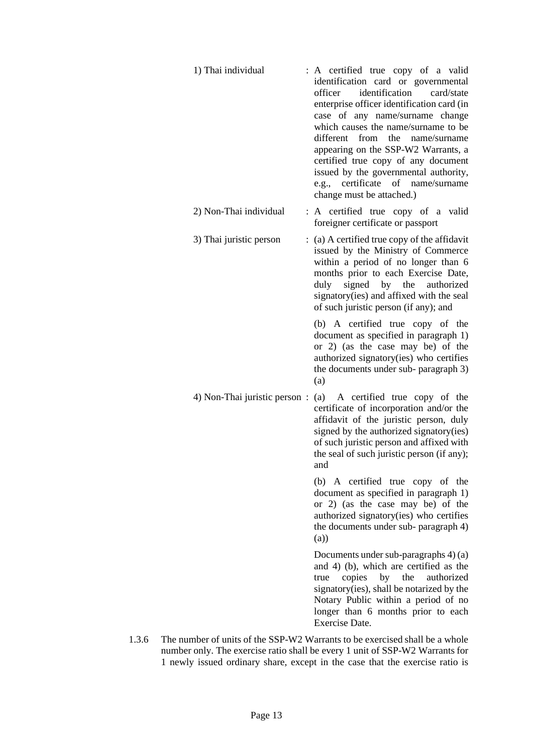| 1) Thai individual           | : A certified true copy of a valid<br>identification card or governmental<br>identification<br>officer<br>card/state<br>enterprise officer identification card (in<br>case of any name/surname change<br>which causes the name/surname to be<br>different from the name/surname<br>appearing on the SSP-W2 Warrants, a<br>certified true copy of any document<br>issued by the governmental authority,<br>e.g., certificate of name/surname<br>change must be attached.) |
|------------------------------|--------------------------------------------------------------------------------------------------------------------------------------------------------------------------------------------------------------------------------------------------------------------------------------------------------------------------------------------------------------------------------------------------------------------------------------------------------------------------|
| 2) Non-Thai individual       | : A certified true copy of a valid<br>foreigner certificate or passport                                                                                                                                                                                                                                                                                                                                                                                                  |
| 3) Thai juristic person      | $\therefore$ (a) A certified true copy of the affidavit<br>issued by the Ministry of Commerce<br>within a period of no longer than 6<br>months prior to each Exercise Date,<br>signed by the authorized<br>duly<br>signatory(ies) and affixed with the seal<br>of such juristic person (if any); and                                                                                                                                                                     |
|                              | (b) A certified true copy of the<br>document as specified in paragraph 1)<br>or 2) (as the case may be) of the<br>authorized signatory(ies) who certifies<br>the documents under sub- paragraph 3)<br>(a)                                                                                                                                                                                                                                                                |
| 4) Non-Thai juristic person: | (a) A certified true copy of the<br>certificate of incorporation and/or the<br>affidavit of the juristic person, duly<br>signed by the authorized signatory(ies)<br>of such juristic person and affixed with<br>the seal of such juristic person (if any);<br>and                                                                                                                                                                                                        |
|                              | (b) A certified true copy of the<br>document as specified in paragraph 1)<br>or 2) (as the case may be) of the<br>authorized signatory(ies) who certifies<br>the documents under sub- paragraph 4)<br>(a))                                                                                                                                                                                                                                                               |

 Documents under sub-paragraphs 4) (a) and 4) (b), which are certified as the true copies by the authorized signatory(ies), shall be notarized by the Notary Public within a period of no longer than 6 months prior to each Exercise Date.

1.3.6 The number of units of the SSP-W2 Warrants to be exercised shall be a whole number only. The exercise ratio shall be every 1 unit of SSP-W2 Warrants for 1 newly issued ordinary share, except in the case that the exercise ratio is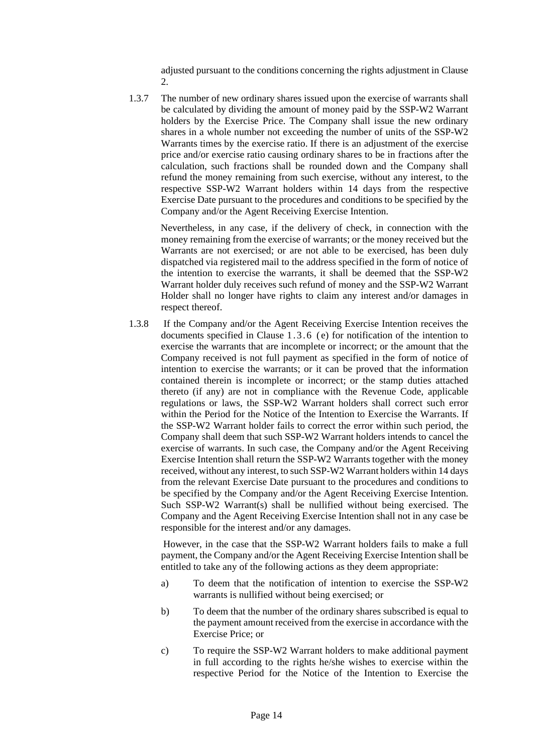adjusted pursuant to the conditions concerning the rights adjustment in Clause 2.

1.3.7 The number of new ordinary shares issued upon the exercise of warrants shall be calculated by dividing the amount of money paid by the SSP-W2 Warrant holders by the Exercise Price. The Company shall issue the new ordinary shares in a whole number not exceeding the number of units of the SSP-W2 Warrants times by the exercise ratio. If there is an adjustment of the exercise price and/or exercise ratio causing ordinary shares to be in fractions after the calculation, such fractions shall be rounded down and the Company shall refund the money remaining from such exercise, without any interest, to the respective SSP-W2 Warrant holders within 14 days from the respective Exercise Date pursuant to the procedures and conditions to be specified by the Company and/or the Agent Receiving Exercise Intention.

 Nevertheless, in any case, if the delivery of check, in connection with the money remaining from the exercise of warrants; or the money received but the Warrants are not exercised; or are not able to be exercised, has been duly dispatched via registered mail to the address specified in the form of notice of the intention to exercise the warrants, it shall be deemed that the SSP-W2 Warrant holder duly receives such refund of money and the SSP-W2 Warrant Holder shall no longer have rights to claim any interest and/or damages in respect thereof.

1.3.8 If the Company and/or the Agent Receiving Exercise Intention receives the documents specified in Clause 1.3.6 (e) for notification of the intention to exercise the warrants that are incomplete or incorrect; or the amount that the Company received is not full payment as specified in the form of notice of intention to exercise the warrants; or it can be proved that the information contained therein is incomplete or incorrect; or the stamp duties attached thereto (if any) are not in compliance with the Revenue Code, applicable regulations or laws, the SSP-W2 Warrant holders shall correct such error within the Period for the Notice of the Intention to Exercise the Warrants. If the SSP-W2 Warrant holder fails to correct the error within such period, the Company shall deem that such SSP-W2 Warrant holders intends to cancel the exercise of warrants. In such case, the Company and/or the Agent Receiving Exercise Intention shall return the SSP-W2 Warrants together with the money received, without any interest, to such SSP-W2 Warrant holders within 14 days from the relevant Exercise Date pursuant to the procedures and conditions to be specified by the Company and/or the Agent Receiving Exercise Intention. Such SSP-W2 Warrant(s) shall be nullified without being exercised. The Company and the Agent Receiving Exercise Intention shall not in any case be responsible for the interest and/or any damages.

 However, in the case that the SSP-W2 Warrant holders fails to make a full payment, the Company and/or the Agent Receiving Exercise Intention shall be entitled to take any of the following actions as they deem appropriate:

- a) To deem that the notification of intention to exercise the SSP-W2 warrants is nullified without being exercised; or
- b) To deem that the number of the ordinary shares subscribed is equal to the payment amount received from the exercise in accordance with the Exercise Price; or
- c) To require the SSP-W2 Warrant holders to make additional payment in full according to the rights he/she wishes to exercise within the respective Period for the Notice of the Intention to Exercise the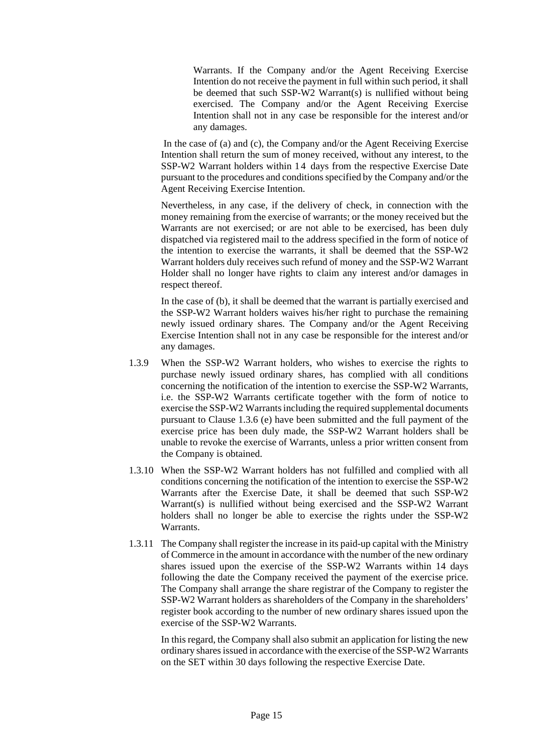Warrants. If the Company and/or the Agent Receiving Exercise Intention do not receive the payment in full within such period, it shall be deemed that such SSP-W2 Warrant(s) is nullified without being exercised. The Company and/or the Agent Receiving Exercise Intention shall not in any case be responsible for the interest and/or any damages.

In the case of (a) and (c), the Company and/or the Agent Receiving Exercise Intention shall return the sum of money received, without any interest, to the SSP-W2 Warrant holders within 14 days from the respective Exercise Date pursuant to the procedures and conditions specified by the Company and/or the Agent Receiving Exercise Intention.

Nevertheless, in any case, if the delivery of check, in connection with the money remaining from the exercise of warrants; or the money received but the Warrants are not exercised; or are not able to be exercised, has been duly dispatched via registered mail to the address specified in the form of notice of the intention to exercise the warrants, it shall be deemed that the SSP-W2 Warrant holders duly receives such refund of money and the SSP-W2 Warrant Holder shall no longer have rights to claim any interest and/or damages in respect thereof.

In the case of (b), it shall be deemed that the warrant is partially exercised and the SSP-W2 Warrant holders waives his/her right to purchase the remaining newly issued ordinary shares. The Company and/or the Agent Receiving Exercise Intention shall not in any case be responsible for the interest and/or any damages.

- 1.3.9 When the SSP-W2 Warrant holders, who wishes to exercise the rights to purchase newly issued ordinary shares, has complied with all conditions concerning the notification of the intention to exercise the SSP-W2 Warrants, i.e. the SSP-W2 Warrants certificate together with the form of notice to exercise the SSP-W2 Warrants including the required supplemental documents pursuant to Clause 1.3.6 (e) have been submitted and the full payment of the exercise price has been duly made, the SSP-W2 Warrant holders shall be unable to revoke the exercise of Warrants, unless a prior written consent from the Company is obtained.
- 1.3.10 When the SSP-W2 Warrant holders has not fulfilled and complied with all conditions concerning the notification of the intention to exercise the SSP-W2 Warrants after the Exercise Date, it shall be deemed that such SSP-W2 Warrant(s) is nullified without being exercised and the SSP-W2 Warrant holders shall no longer be able to exercise the rights under the SSP-W2 Warrants.
- 1.3.11 The Company shall register the increase in its paid-up capital with the Ministry of Commerce in the amount in accordance with the number of the new ordinary shares issued upon the exercise of the SSP-W2 Warrants within 14 days following the date the Company received the payment of the exercise price. The Company shall arrange the share registrar of the Company to register the SSP-W2 Warrant holders as shareholders of the Company in the shareholders' register book according to the number of new ordinary shares issued upon the exercise of the SSP-W2 Warrants.

In this regard, the Company shall also submit an application for listing the new ordinary shares issued in accordance with the exercise of the SSP-W2 Warrants on the SET within 30 days following the respective Exercise Date.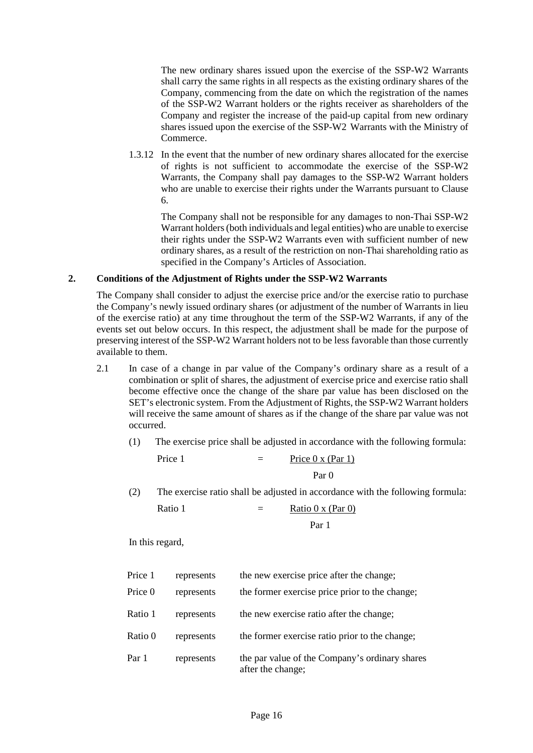The new ordinary shares issued upon the exercise of the SSP-W2 Warrants shall carry the same rights in all respects as the existing ordinary shares of the Company, commencing from the date on which the registration of the names of the SSP-W2 Warrant holders or the rights receiver as shareholders of the Company and register the increase of the paid-up capital from new ordinary shares issued upon the exercise of the SSP-W2 Warrants with the Ministry of Commerce.

1.3.12 In the event that the number of new ordinary shares allocated for the exercise of rights is not sufficient to accommodate the exercise of the SSP-W2 Warrants, the Company shall pay damages to the SSP-W2 Warrant holders who are unable to exercise their rights under the Warrants pursuant to Clause 6.

The Company shall not be responsible for any damages to non-Thai SSP-W2 Warrant holders (both individuals and legal entities) who are unable to exercise their rights under the SSP-W2 Warrants even with sufficient number of new ordinary shares, as a result of the restriction on non-Thai shareholding ratio as specified in the Company's Articles of Association.

#### **2. Conditions of the Adjustment of Rights under the SSP-W2 Warrants**

The Company shall consider to adjust the exercise price and/or the exercise ratio to purchase the Company's newly issued ordinary shares (or adjustment of the number of Warrants in lieu of the exercise ratio) at any time throughout the term of the SSP-W2 Warrants, if any of the events set out below occurs. In this respect, the adjustment shall be made for the purpose of preserving interest of the SSP-W2 Warrant holders not to be less favorable than those currently available to them.

- 2.1 In case of a change in par value of the Company's ordinary share as a result of a combination or split of shares, the adjustment of exercise price and exercise ratio shall become effective once the change of the share par value has been disclosed on the SET's electronic system. From the Adjustment of Rights, the SSP-W2 Warrant holders will receive the same amount of shares as if the change of the share par value was not occurred.
	- (1) The exercise price shall be adjusted in accordance with the following formula:

$$
Price 1 = \underline{Price 0 x (Par 1)}
$$
  
Par 0

(2) The exercise ratio shall be adjusted in accordance with the following formula:

| Ratio 1 | $=$ | Ratio $0 \times (Par 0)$ |
|---------|-----|--------------------------|
|         |     | Par 1                    |

| Price 1 | represents | the new exercise price after the change;                            |
|---------|------------|---------------------------------------------------------------------|
| Price 0 | represents | the former exercise price prior to the change;                      |
| Ratio 1 | represents | the new exercise ratio after the change;                            |
| Ratio 0 | represents | the former exercise ratio prior to the change;                      |
| Par 1   | represents | the par value of the Company's ordinary shares<br>after the change; |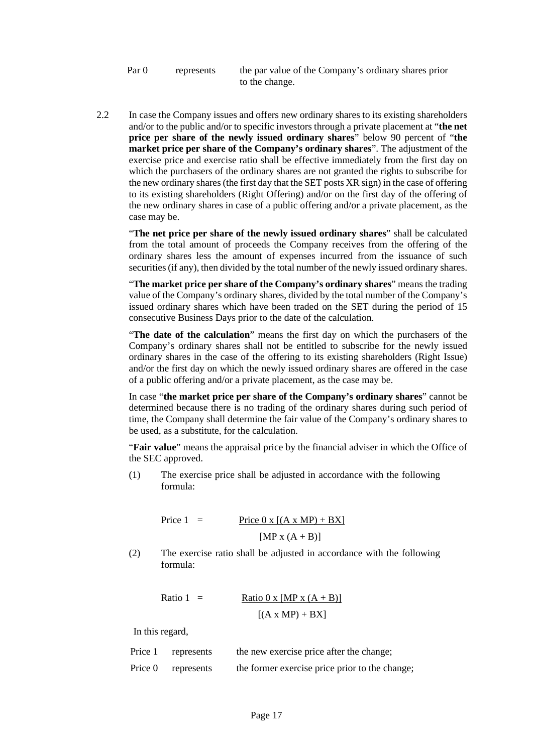Par 0 represents the par value of the Company's ordinary shares prior to the change.

2.2 In case the Company issues and offers new ordinary shares to its existing shareholders and/or to the public and/or to specific investors through a private placement at "**the net price per share of the newly issued ordinary shares**" below 90 percent of "**the market price per share of the Company's ordinary shares**". The adjustment of the exercise price and exercise ratio shall be effective immediately from the first day on which the purchasers of the ordinary shares are not granted the rights to subscribe for the new ordinary shares (the first day that the SET posts XR sign) in the case of offering to its existing shareholders (Right Offering) and/or on the first day of the offering of the new ordinary shares in case of a public offering and/or a private placement, as the case may be.

"**The net price per share of the newly issued ordinary shares**" shall be calculated from the total amount of proceeds the Company receives from the offering of the ordinary shares less the amount of expenses incurred from the issuance of such securities (if any), then divided by the total number of the newly issued ordinary shares.

"**The market price per share of the Company's ordinary shares**" means the trading value of the Company's ordinary shares, divided by the total number of the Company's issued ordinary shares which have been traded on the SET during the period of 15 consecutive Business Days prior to the date of the calculation.

"**The date of the calculation**" means the first day on which the purchasers of the Company's ordinary shares shall not be entitled to subscribe for the newly issued ordinary shares in the case of the offering to its existing shareholders (Right Issue) and/or the first day on which the newly issued ordinary shares are offered in the case of a public offering and/or a private placement, as the case may be.

In case "**the market price per share of the Company's ordinary shares**" cannot be determined because there is no trading of the ordinary shares during such period of time, the Company shall determine the fair value of the Company's ordinary shares to be used, as a substitute, for the calculation.

"**Fair value**" means the appraisal price by the financial adviser in which the Office of the SEC approved.

(1) The exercise price shall be adjusted in accordance with the following formula:

> Price  $1 =$  Price  $0 \times [(A \times MP) + BX]$  $[MP x (A + B)]$

(2) The exercise ratio shall be adjusted in accordance with the following formula:

Ratio 1 = 
$$
\frac{\text{Ratio 0 x [MP x (A + B)]}}{[(A x MP) + BX]}
$$

| Price 1 | represents         | the new exercise price after the change;       |
|---------|--------------------|------------------------------------------------|
|         | Price 0 represents | the former exercise price prior to the change; |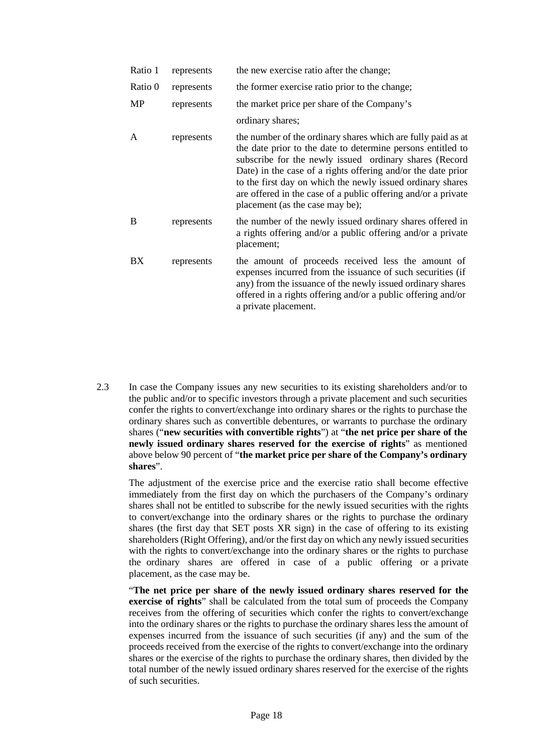| Ratio 1 | represents | the new exercise ratio after the change;                                                                                                                                                                                                                                                                                                                                                                                |
|---------|------------|-------------------------------------------------------------------------------------------------------------------------------------------------------------------------------------------------------------------------------------------------------------------------------------------------------------------------------------------------------------------------------------------------------------------------|
| Ratio 0 | represents | the former exercise ratio prior to the change;                                                                                                                                                                                                                                                                                                                                                                          |
| MP      | represents | the market price per share of the Company's                                                                                                                                                                                                                                                                                                                                                                             |
|         |            | ordinary shares;                                                                                                                                                                                                                                                                                                                                                                                                        |
| A       | represents | the number of the ordinary shares which are fully paid as at<br>the date prior to the date to determine persons entitled to<br>subscribe for the newly issued ordinary shares (Record<br>Date) in the case of a rights offering and/or the date prior<br>to the first day on which the newly issued ordinary shares<br>are offered in the case of a public offering and/or a private<br>placement (as the case may be); |
| B       | represents | the number of the newly issued ordinary shares offered in<br>a rights offering and/or a public offering and/or a private<br>placement;                                                                                                                                                                                                                                                                                  |
| BX      | represents | the amount of proceeds received less the amount of<br>expenses incurred from the issuance of such securities (if<br>any) from the issuance of the newly issued ordinary shares<br>offered in a rights offering and/or a public offering and/or<br>a private placement.                                                                                                                                                  |

2.3 In case the Company issues any new securities to its existing shareholders and/or to the public and/or to specific investors through a private placement and such securities confer the rights to convert/exchange into ordinary shares or the rights to purchase the ordinary shares such as convertible debentures, or warrants to purchase the ordinary shares ("**new securities with convertible rights**") at "**the net price per share of the newly issued ordinary shares reserved for the exercise of rights**" as mentioned above below 90 percent of "**the market price per share of the Company's ordinary shares**".

The adjustment of the exercise price and the exercise ratio shall become effective immediately from the first day on which the purchasers of the Company's ordinary shares shall not be entitled to subscribe for the newly issued securities with the rights to convert/exchange into the ordinary shares or the rights to purchase the ordinary shares (the first day that SET posts XR sign) in the case of offering to its existing shareholders (Right Offering), and/or the first day on which any newly issued securities with the rights to convert/exchange into the ordinary shares or the rights to purchase the ordinary shares are offered in case of a public offering or a private placement, as the case may be.

"**The net price per share of the newly issued ordinary shares reserved for the exercise of rights**" shall be calculated from the total sum of proceeds the Company receives from the offering of securities which confer the rights to convert/exchange into the ordinary shares or the rights to purchase the ordinary shares less the amount of expenses incurred from the issuance of such securities (if any) and the sum of the proceeds received from the exercise of the rights to convert/exchange into the ordinary shares or the exercise of the rights to purchase the ordinary shares, then divided by the total number of the newly issued ordinary shares reserved for the exercise of the rights of such securities.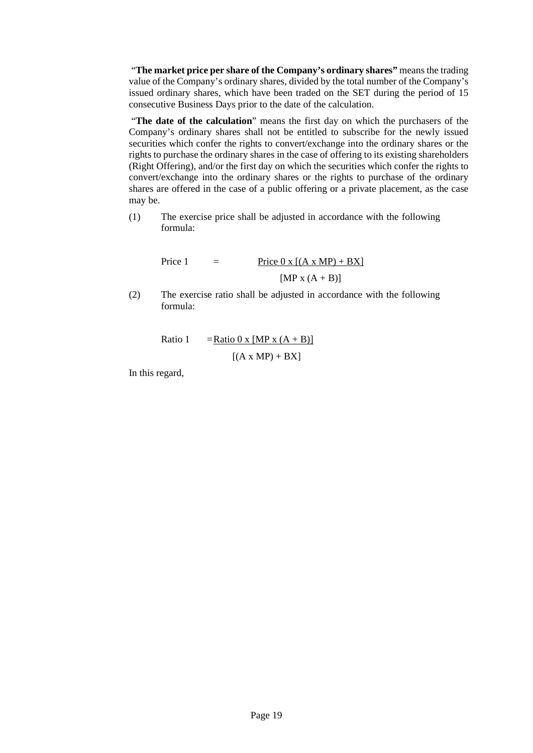"**The market price per share of the Company's ordinary shares"** means the trading value of the Company's ordinary shares, divided by the total number of the Company's issued ordinary shares, which have been traded on the SET during the period of 15 consecutive Business Days prior to the date of the calculation.

"**The date of the calculation**" means the first day on which the purchasers of the Company's ordinary shares shall not be entitled to subscribe for the newly issued securities which confer the rights to convert/exchange into the ordinary shares or the rights to purchase the ordinary shares in the case of offering to its existing shareholders (Right Offering), and/or the first day on which the securities which confer the rights to convert/exchange into the ordinary shares or the rights to purchase of the ordinary shares are offered in the case of a public offering or a private placement, as the case may be.

(1) The exercise price shall be adjusted in accordance with the following formula:

> Price 1 = Price  $0 \times [(A \times MP) + BX]$  $[MP x (A + B)]$

(2) The exercise ratio shall be adjusted in accordance with the following formula:

> Ratio 1 =  $Ratio 0 x [MP x (A + B)]$  $[(A x MP) + BX]$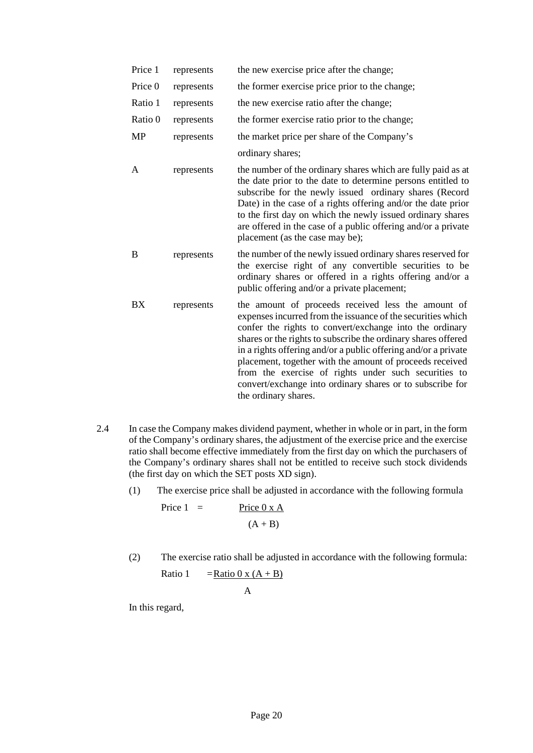| Price 1   | represents | the new exercise price after the change;                                                                                                                                                                                                                                                                                                                                                                                                                                                                                 |
|-----------|------------|--------------------------------------------------------------------------------------------------------------------------------------------------------------------------------------------------------------------------------------------------------------------------------------------------------------------------------------------------------------------------------------------------------------------------------------------------------------------------------------------------------------------------|
| Price 0   | represents | the former exercise price prior to the change;                                                                                                                                                                                                                                                                                                                                                                                                                                                                           |
| Ratio 1   | represents | the new exercise ratio after the change;                                                                                                                                                                                                                                                                                                                                                                                                                                                                                 |
| Ratio 0   | represents | the former exercise ratio prior to the change;                                                                                                                                                                                                                                                                                                                                                                                                                                                                           |
| <b>MP</b> | represents | the market price per share of the Company's                                                                                                                                                                                                                                                                                                                                                                                                                                                                              |
|           |            | ordinary shares;                                                                                                                                                                                                                                                                                                                                                                                                                                                                                                         |
| A         | represents | the number of the ordinary shares which are fully paid as at<br>the date prior to the date to determine persons entitled to<br>subscribe for the newly issued ordinary shares (Record<br>Date) in the case of a rights offering and/or the date prior<br>to the first day on which the newly issued ordinary shares<br>are offered in the case of a public offering and/or a private<br>placement (as the case may be);                                                                                                  |
| B         | represents | the number of the newly issued ordinary shares reserved for<br>the exercise right of any convertible securities to be<br>ordinary shares or offered in a rights offering and/or a<br>public offering and/or a private placement;                                                                                                                                                                                                                                                                                         |
| <b>BX</b> | represents | the amount of proceeds received less the amount of<br>expenses incurred from the issuance of the securities which<br>confer the rights to convert/exchange into the ordinary<br>shares or the rights to subscribe the ordinary shares offered<br>in a rights offering and/or a public offering and/or a private<br>placement, together with the amount of proceeds received<br>from the exercise of rights under such securities to<br>convert/exchange into ordinary shares or to subscribe for<br>the ordinary shares. |

- 2.4 In case the Company makes dividend payment, whether in whole or in part, in the form of the Company's ordinary shares, the adjustment of the exercise price and the exercise ratio shall become effective immediately from the first day on which the purchasers of the Company's ordinary shares shall not be entitled to receive such stock dividends (the first day on which the SET posts XD sign).
	- (1) The exercise price shall be adjusted in accordance with the following formula

$$
Price 1 = \frac{Price 0 \times A}{(A + B)}
$$

(2) The exercise ratio shall be adjusted in accordance with the following formula:

Ratio 1 =  $\frac{\text{Ratio } 0 \times (A + B)}{\text{Ratio } 0 \times (B + B)}$ 

A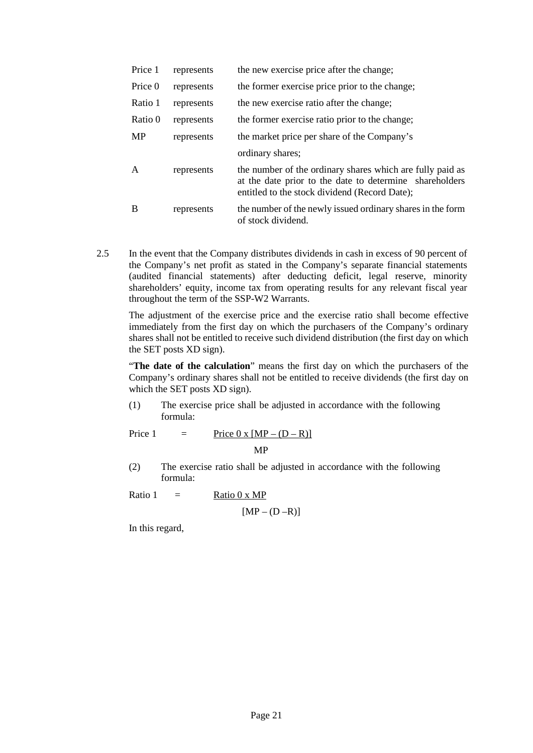| Price 1   | represents | the new exercise price after the change;                                                                                                                              |
|-----------|------------|-----------------------------------------------------------------------------------------------------------------------------------------------------------------------|
| Price 0   | represents | the former exercise price prior to the change;                                                                                                                        |
| Ratio 1   | represents | the new exercise ratio after the change;                                                                                                                              |
| Ratio 0   | represents | the former exercise ratio prior to the change;                                                                                                                        |
| <b>MP</b> | represents | the market price per share of the Company's                                                                                                                           |
|           |            | ordinary shares;                                                                                                                                                      |
| A         | represents | the number of the ordinary shares which are fully paid as<br>at the date prior to the date to determine shareholders<br>entitled to the stock dividend (Record Date); |
| B         | represents | the number of the newly issued ordinary shares in the form<br>of stock dividend.                                                                                      |

2.5 In the event that the Company distributes dividends in cash in excess of 90 percent of the Company's net profit as stated in the Company's separate financial statements (audited financial statements) after deducting deficit, legal reserve, minority shareholders' equity, income tax from operating results for any relevant fiscal year throughout the term of the SSP-W2 Warrants.

The adjustment of the exercise price and the exercise ratio shall become effective immediately from the first day on which the purchasers of the Company's ordinary shares shall not be entitled to receive such dividend distribution (the first day on which the SET posts XD sign).

"**The date of the calculation**" means the first day on which the purchasers of the Company's ordinary shares shall not be entitled to receive dividends (the first day on which the SET posts XD sign).

(1) The exercise price shall be adjusted in accordance with the following formula:

Price 1 = Price  $0 \times [MP - (D - R)]$ 

MP

(2) The exercise ratio shall be adjusted in accordance with the following formula:

Ratio  $1 =$  Ratio 0 x MP

 $[MP - (D - R)]$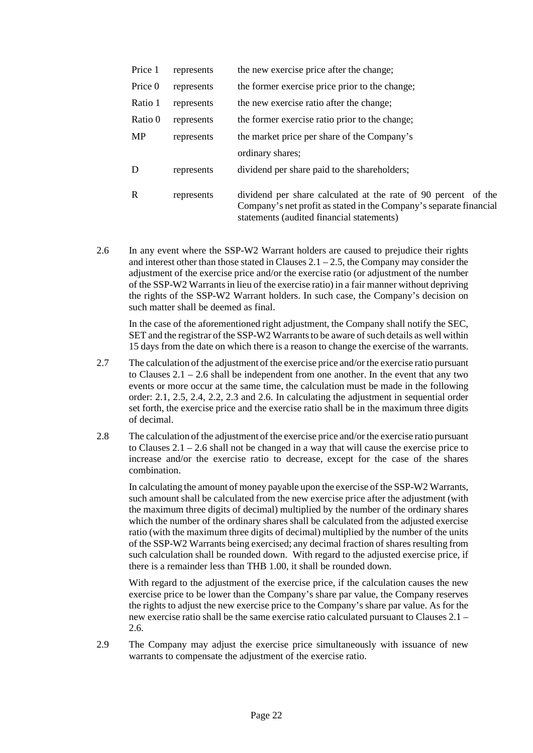| Price 1     | represents | the new exercise price after the change;                                                                                                                                          |
|-------------|------------|-----------------------------------------------------------------------------------------------------------------------------------------------------------------------------------|
| Price 0     | represents | the former exercise price prior to the change;                                                                                                                                    |
| Ratio 1     | represents | the new exercise ratio after the change;                                                                                                                                          |
| Ratio 0     | represents | the former exercise ratio prior to the change;                                                                                                                                    |
| <b>MP</b>   | represents | the market price per share of the Company's                                                                                                                                       |
|             |            | ordinary shares;                                                                                                                                                                  |
| D           | represents | dividend per share paid to the shareholders;                                                                                                                                      |
| $\mathbf R$ | represents | dividend per share calculated at the rate of 90 percent of the<br>Company's net profit as stated in the Company's separate financial<br>statements (audited financial statements) |

2.6 In any event where the SSP-W2 Warrant holders are caused to prejudice their rights and interest other than those stated in Clauses  $2.1 - 2.5$ , the Company may consider the adjustment of the exercise price and/or the exercise ratio (or adjustment of the number of the SSP-W2 Warrants in lieu of the exercise ratio) in a fair manner without depriving the rights of the SSP-W2 Warrant holders. In such case, the Company's decision on such matter shall be deemed as final.

In the case of the aforementioned right adjustment, the Company shall notify the SEC, SET and the registrar of the SSP-W2 Warrants to be aware of such details as well within 15 days from the date on which there is a reason to change the exercise of the warrants.

- 2.7 The calculation of the adjustment of the exercise price and/or the exercise ratio pursuant to Clauses 2.1 – 2.6 shall be independent from one another. In the event that any two events or more occur at the same time, the calculation must be made in the following order: 2.1, 2.5, 2.4, 2.2, 2.3 and 2.6. In calculating the adjustment in sequential order set forth, the exercise price and the exercise ratio shall be in the maximum three digits of decimal.
- 2.8 The calculation of the adjustment of the exercise price and/or the exercise ratio pursuant to Clauses  $2.1 - 2.6$  shall not be changed in a way that will cause the exercise price to increase and/or the exercise ratio to decrease, except for the case of the shares combination.

In calculating the amount of money payable upon the exercise of the SSP-W2 Warrants, such amount shall be calculated from the new exercise price after the adjustment (with the maximum three digits of decimal) multiplied by the number of the ordinary shares which the number of the ordinary shares shall be calculated from the adjusted exercise ratio (with the maximum three digits of decimal) multiplied by the number of the units of the SSP-W2 Warrants being exercised; any decimal fraction of shares resulting from such calculation shall be rounded down. With regard to the adjusted exercise price, if there is a remainder less than THB 1.00, it shall be rounded down.

With regard to the adjustment of the exercise price, if the calculation causes the new exercise price to be lower than the Company's share par value, the Company reserves the rights to adjust the new exercise price to the Company's share par value. As for the new exercise ratio shall be the same exercise ratio calculated pursuant to Clauses 2.1 – 2.6.

2.9 The Company may adjust the exercise price simultaneously with issuance of new warrants to compensate the adjustment of the exercise ratio.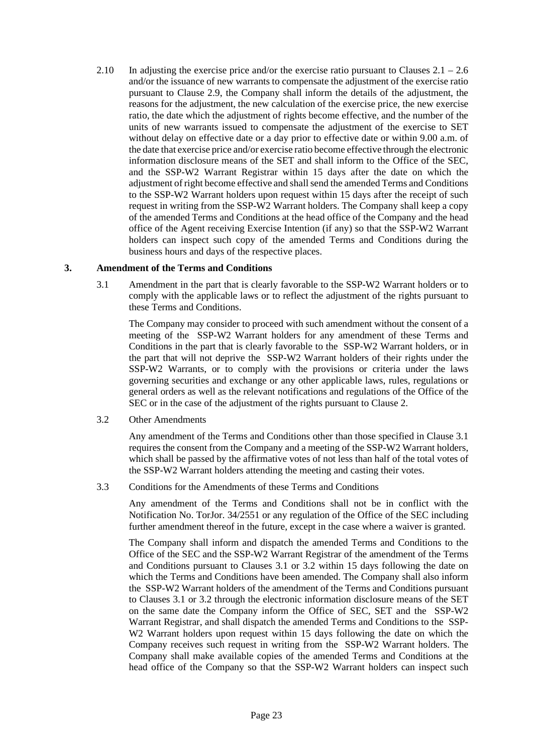2.10 In adjusting the exercise price and/or the exercise ratio pursuant to Clauses 2.1 – 2.6 and/or the issuance of new warrants to compensate the adjustment of the exercise ratio pursuant to Clause 2.9, the Company shall inform the details of the adjustment, the reasons for the adjustment, the new calculation of the exercise price, the new exercise ratio, the date which the adjustment of rights become effective, and the number of the units of new warrants issued to compensate the adjustment of the exercise to SET without delay on effective date or a day prior to effective date or within 9.00 a.m. of the date that exercise price and/or exercise ratio become effective through the electronic information disclosure means of the SET and shall inform to the Office of the SEC, and the SSP-W2 Warrant Registrar within 15 days after the date on which the adjustment of right become effective and shall send the amended Terms and Conditions to the SSP-W2 Warrant holders upon request within 15 days after the receipt of such request in writing from the SSP-W2 Warrant holders. The Company shall keep a copy of the amended Terms and Conditions at the head office of the Company and the head office of the Agent receiving Exercise Intention (if any) so that the SSP-W2 Warrant holders can inspect such copy of the amended Terms and Conditions during the business hours and days of the respective places.

#### **3. Amendment of the Terms and Conditions**

3.1 Amendment in the part that is clearly favorable to the SSP-W2 Warrant holders or to comply with the applicable laws or to reflect the adjustment of the rights pursuant to these Terms and Conditions.

The Company may consider to proceed with such amendment without the consent of a meeting of the SSP-W2 Warrant holders for any amendment of these Terms and Conditions in the part that is clearly favorable to the SSP-W2 Warrant holders, or in the part that will not deprive the SSP-W2 Warrant holders of their rights under the SSP-W2 Warrants, or to comply with the provisions or criteria under the laws governing securities and exchange or any other applicable laws, rules, regulations or general orders as well as the relevant notifications and regulations of the Office of the SEC or in the case of the adjustment of the rights pursuant to Clause 2.

3.2 Other Amendments

Any amendment of the Terms and Conditions other than those specified in Clause 3.1 requires the consent from the Company and a meeting of the SSP-W2 Warrant holders, which shall be passed by the affirmative votes of not less than half of the total votes of the SSP-W2 Warrant holders attending the meeting and casting their votes.

3.3 Conditions for the Amendments of these Terms and Conditions

Any amendment of the Terms and Conditions shall not be in conflict with the Notification No. TorJor. 34/2551 or any regulation of the Office of the SEC including further amendment thereof in the future, except in the case where a waiver is granted.

The Company shall inform and dispatch the amended Terms and Conditions to the Office of the SEC and the SSP-W2 Warrant Registrar of the amendment of the Terms and Conditions pursuant to Clauses 3.1 or 3.2 within 15 days following the date on which the Terms and Conditions have been amended. The Company shall also inform the SSP-W2 Warrant holders of the amendment of the Terms and Conditions pursuant to Clauses 3.1 or 3.2 through the electronic information disclosure means of the SET on the same date the Company inform the Office of SEC, SET and the SSP-W2 Warrant Registrar, and shall dispatch the amended Terms and Conditions to the SSP-W<sub>2</sub> Warrant holders upon request within 15 days following the date on which the Company receives such request in writing from the SSP-W2 Warrant holders. The Company shall make available copies of the amended Terms and Conditions at the head office of the Company so that the SSP-W2 Warrant holders can inspect such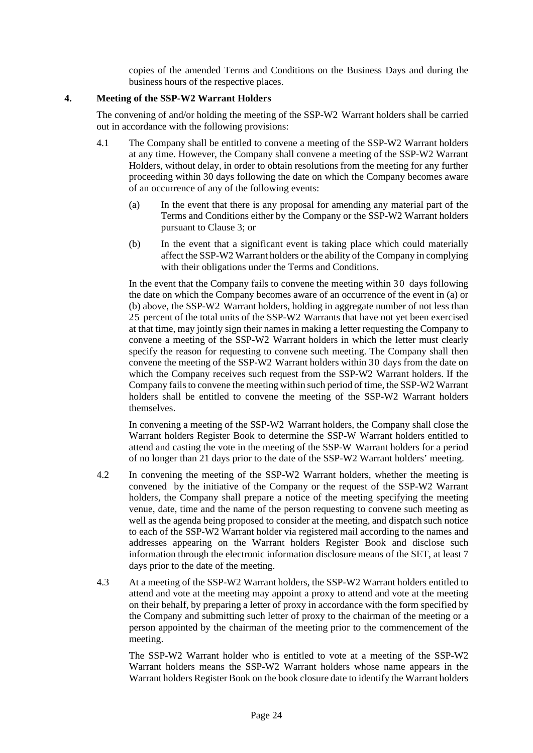copies of the amended Terms and Conditions on the Business Days and during the business hours of the respective places.

#### **4. Meeting of the SSP-W2 Warrant Holders**

The convening of and/or holding the meeting of the SSP-W2 Warrant holders shall be carried out in accordance with the following provisions:

- 4.1 The Company shall be entitled to convene a meeting of the SSP-W2 Warrant holders at any time. However, the Company shall convene a meeting of the SSP-W2 Warrant Holders, without delay, in order to obtain resolutions from the meeting for any further proceeding within 30 days following the date on which the Company becomes aware of an occurrence of any of the following events:
	- (a) In the event that there is any proposal for amending any material part of the Terms and Conditions either by the Company or the SSP-W2 Warrant holders pursuant to Clause 3; or
	- (b) In the event that a significant event is taking place which could materially affect the SSP-W2 Warrant holders or the ability of the Company in complying with their obligations under the Terms and Conditions.

In the event that the Company fails to convene the meeting within 30 days following the date on which the Company becomes aware of an occurrence of the event in (a) or (b) above, the SSP-W2 Warrant holders, holding in aggregate number of not less than 25 percent of the total units of the SSP-W2 Warrants that have not yet been exercised at that time, may jointly sign their names in making a letter requesting the Company to convene a meeting of the SSP-W2 Warrant holders in which the letter must clearly specify the reason for requesting to convene such meeting. The Company shall then convene the meeting of the SSP-W2 Warrant holders within 30 days from the date on which the Company receives such request from the SSP-W2 Warrant holders. If the Company fails to convene the meeting within such period of time, the SSP-W2 Warrant holders shall be entitled to convene the meeting of the SSP-W2 Warrant holders themselves.

In convening a meeting of the SSP-W2 Warrant holders, the Company shall close the Warrant holders Register Book to determine the SSP-W Warrant holders entitled to attend and casting the vote in the meeting of the SSP-W Warrant holders for a period of no longer than 21 days prior to the date of the SSP-W2 Warrant holders' meeting.

- 4.2 In convening the meeting of the SSP-W2 Warrant holders, whether the meeting is convened by the initiative of the Company or the request of the SSP-W2 Warrant holders, the Company shall prepare a notice of the meeting specifying the meeting venue, date, time and the name of the person requesting to convene such meeting as well as the agenda being proposed to consider at the meeting, and dispatch such notice to each of the SSP-W2 Warrant holder via registered mail according to the names and addresses appearing on the Warrant holders Register Book and disclose such information through the electronic information disclosure means of the SET, at least 7 days prior to the date of the meeting.
- 4.3 At a meeting of the SSP-W2 Warrant holders, the SSP-W2 Warrant holders entitled to attend and vote at the meeting may appoint a proxy to attend and vote at the meeting on their behalf, by preparing a letter of proxy in accordance with the form specified by the Company and submitting such letter of proxy to the chairman of the meeting or a person appointed by the chairman of the meeting prior to the commencement of the meeting.

The SSP-W2 Warrant holder who is entitled to vote at a meeting of the SSP-W2 Warrant holders means the SSP-W2 Warrant holders whose name appears in the Warrant holders Register Book on the book closure date to identify the Warrant holders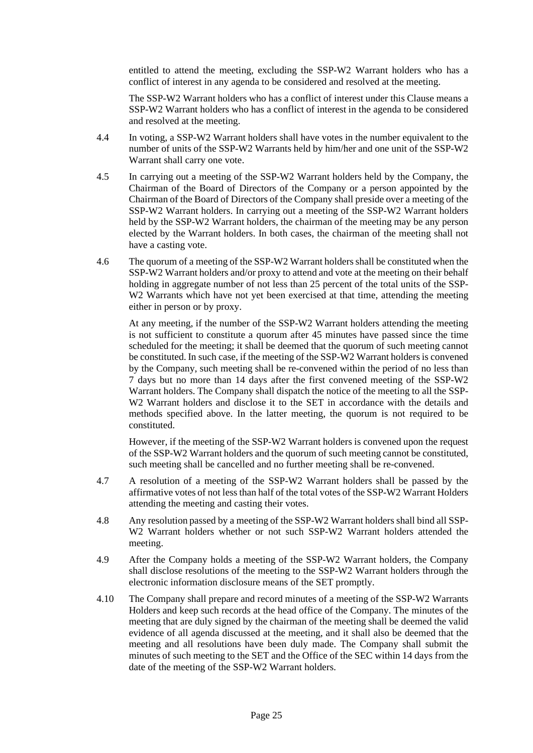entitled to attend the meeting, excluding the SSP-W2 Warrant holders who has a conflict of interest in any agenda to be considered and resolved at the meeting.

The SSP-W2 Warrant holders who has a conflict of interest under this Clause means a SSP-W2 Warrant holders who has a conflict of interest in the agenda to be considered and resolved at the meeting.

- 4.4 In voting, a SSP-W2 Warrant holders shall have votes in the number equivalent to the number of units of the SSP-W2 Warrants held by him/her and one unit of the SSP-W2 Warrant shall carry one vote.
- 4.5 In carrying out a meeting of the SSP-W2 Warrant holders held by the Company, the Chairman of the Board of Directors of the Company or a person appointed by the Chairman of the Board of Directors of the Company shall preside over a meeting of the SSP-W2 Warrant holders. In carrying out a meeting of the SSP-W2 Warrant holders held by the SSP-W2 Warrant holders, the chairman of the meeting may be any person elected by the Warrant holders. In both cases, the chairman of the meeting shall not have a casting vote.
- 4.6 The quorum of a meeting of the SSP-W2 Warrant holders shall be constituted when the SSP-W2 Warrant holders and/or proxy to attend and vote at the meeting on their behalf holding in aggregate number of not less than 25 percent of the total units of the SSP-W2 Warrants which have not yet been exercised at that time, attending the meeting either in person or by proxy.

At any meeting, if the number of the SSP-W2 Warrant holders attending the meeting is not sufficient to constitute a quorum after 45 minutes have passed since the time scheduled for the meeting; it shall be deemed that the quorum of such meeting cannot be constituted. In such case, if the meeting of the SSP-W2 Warrant holders is convened by the Company, such meeting shall be re-convened within the period of no less than 7 days but no more than 14 days after the first convened meeting of the SSP-W2 Warrant holders. The Company shall dispatch the notice of the meeting to all the SSP-W<sub>2</sub> Warrant holders and disclose it to the SET in accordance with the details and methods specified above. In the latter meeting, the quorum is not required to be constituted.

However, if the meeting of the SSP-W2 Warrant holders is convened upon the request of the SSP-W2 Warrant holders and the quorum of such meeting cannot be constituted, such meeting shall be cancelled and no further meeting shall be re-convened.

- 4.7 A resolution of a meeting of the SSP-W2 Warrant holders shall be passed by the affirmative votes of not less than half of the total votes of the SSP-W2 Warrant Holders attending the meeting and casting their votes.
- 4.8 Any resolution passed by a meeting of the SSP-W2 Warrant holders shall bind all SSP-W2 Warrant holders whether or not such SSP-W2 Warrant holders attended the meeting.
- 4.9 After the Company holds a meeting of the SSP-W2 Warrant holders, the Company shall disclose resolutions of the meeting to the SSP-W2 Warrant holders through the electronic information disclosure means of the SET promptly.
- 4.10 The Company shall prepare and record minutes of a meeting of the SSP-W2 Warrants Holders and keep such records at the head office of the Company. The minutes of the meeting that are duly signed by the chairman of the meeting shall be deemed the valid evidence of all agenda discussed at the meeting, and it shall also be deemed that the meeting and all resolutions have been duly made. The Company shall submit the minutes of such meeting to the SET and the Office of the SEC within 14 days from the date of the meeting of the SSP-W2 Warrant holders.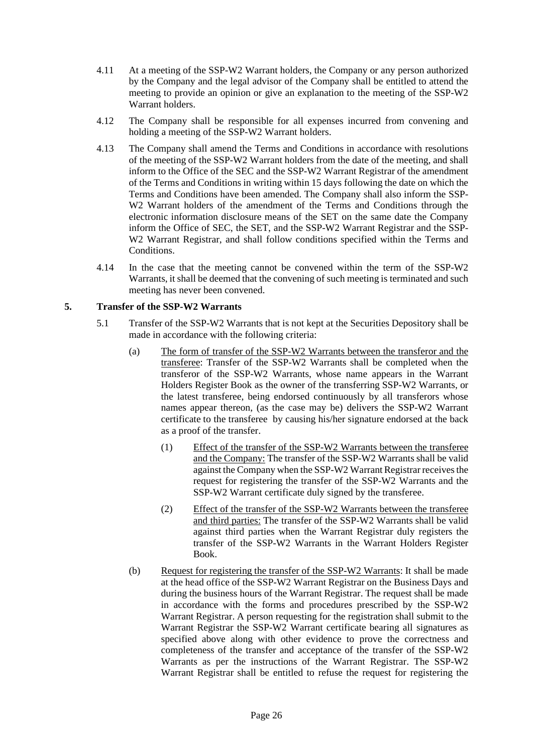- 4.11 At a meeting of the SSP-W2 Warrant holders, the Company or any person authorized by the Company and the legal advisor of the Company shall be entitled to attend the meeting to provide an opinion or give an explanation to the meeting of the SSP-W2 Warrant holders.
- 4.12 The Company shall be responsible for all expenses incurred from convening and holding a meeting of the SSP-W2 Warrant holders.
- 4.13 The Company shall amend the Terms and Conditions in accordance with resolutions of the meeting of the SSP-W2 Warrant holders from the date of the meeting, and shall inform to the Office of the SEC and the SSP-W2 Warrant Registrar of the amendment of the Terms and Conditions in writing within 15 days following the date on which the Terms and Conditions have been amended. The Company shall also inform the SSP-W2 Warrant holders of the amendment of the Terms and Conditions through the electronic information disclosure means of the SET on the same date the Company inform the Office of SEC, the SET, and the SSP-W2 Warrant Registrar and the SSP-W2 Warrant Registrar, and shall follow conditions specified within the Terms and Conditions.
- 4.14 In the case that the meeting cannot be convened within the term of the SSP-W2 Warrants, it shall be deemed that the convening of such meeting is terminated and such meeting has never been convened.

#### **5. Transfer of the SSP-W2 Warrants**

- 5.1 Transfer of the SSP-W2 Warrants that is not kept at the Securities Depository shall be made in accordance with the following criteria:
	- (a) The form of transfer of the SSP-W2 Warrants between the transferor and the transferee: Transfer of the SSP-W2 Warrants shall be completed when the transferor of the SSP-W2 Warrants, whose name appears in the Warrant Holders Register Book as the owner of the transferring SSP-W2 Warrants, or the latest transferee, being endorsed continuously by all transferors whose names appear thereon, (as the case may be) delivers the SSP-W2 Warrant certificate to the transferee by causing his/her signature endorsed at the back as a proof of the transfer.
		- (1) Effect of the transfer of the SSP-W2 Warrants between the transferee and the Company: The transfer of the SSP-W2 Warrants shall be valid against the Company when the SSP-W2 Warrant Registrar receives the request for registering the transfer of the SSP-W2 Warrants and the SSP-W2 Warrant certificate duly signed by the transferee.
		- (2) Effect of the transfer of the SSP-W2 Warrants between the transferee and third parties: The transfer of the SSP-W2 Warrants shall be valid against third parties when the Warrant Registrar duly registers the transfer of the SSP-W2 Warrants in the Warrant Holders Register Book.
	- (b) Request for registering the transfer of the SSP-W2 Warrants: It shall be made at the head office of the SSP-W2 Warrant Registrar on the Business Days and during the business hours of the Warrant Registrar. The request shall be made in accordance with the forms and procedures prescribed by the SSP-W2 Warrant Registrar. A person requesting for the registration shall submit to the Warrant Registrar the SSP-W2 Warrant certificate bearing all signatures as specified above along with other evidence to prove the correctness and completeness of the transfer and acceptance of the transfer of the SSP-W2 Warrants as per the instructions of the Warrant Registrar. The SSP-W2 Warrant Registrar shall be entitled to refuse the request for registering the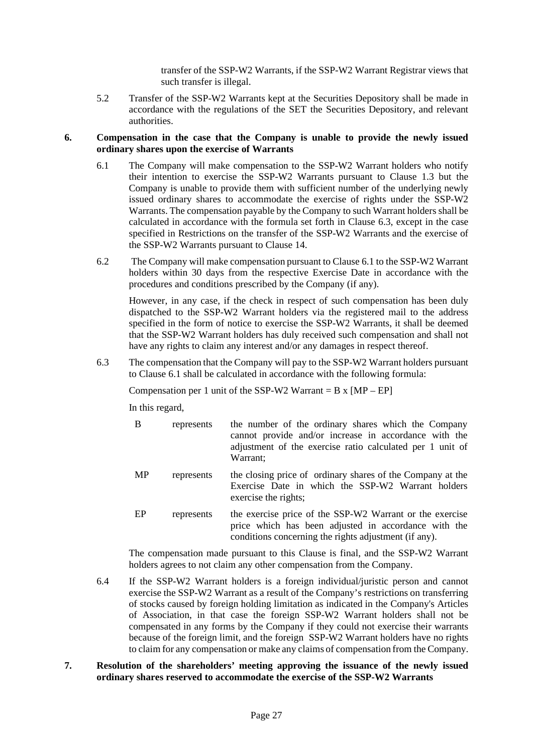transfer of the SSP-W2 Warrants, if the SSP-W2 Warrant Registrar views that such transfer is illegal.

5.2 Transfer of the SSP-W2 Warrants kept at the Securities Depository shall be made in accordance with the regulations of the SET the Securities Depository, and relevant authorities.

#### **6. Compensation in the case that the Company is unable to provide the newly issued ordinary shares upon the exercise of Warrants**

- 6.1 The Company will make compensation to the SSP-W2 Warrant holders who notify their intention to exercise the SSP-W2 Warrants pursuant to Clause 1.3 but the Company is unable to provide them with sufficient number of the underlying newly issued ordinary shares to accommodate the exercise of rights under the SSP-W2 Warrants. The compensation payable by the Company to such Warrant holders shall be calculated in accordance with the formula set forth in Clause 6.3, except in the case specified in Restrictions on the transfer of the SSP-W2 Warrants and the exercise of the SSP-W2 Warrants pursuant to Clause 14.
- 6.2 The Company will make compensation pursuant to Clause 6.1 to the SSP-W2 Warrant holders within 30 days from the respective Exercise Date in accordance with the procedures and conditions prescribed by the Company (if any).

However, in any case, if the check in respect of such compensation has been duly dispatched to the SSP-W2 Warrant holders via the registered mail to the address specified in the form of notice to exercise the SSP-W2 Warrants, it shall be deemed that the SSP-W2 Warrant holders has duly received such compensation and shall not have any rights to claim any interest and/or any damages in respect thereof.

6.3 The compensation that the Company will pay to the SSP-W2 Warrant holders pursuant to Clause 6.1 shall be calculated in accordance with the following formula:

Compensation per 1 unit of the SSP-W2 Warrant =  $B \times [MP - EP]$ 

In this regard,

- B represents the number of the ordinary shares which the Company cannot provide and/or increase in accordance with the adjustment of the exercise ratio calculated per 1 unit of Warrant; MP represents the closing price of ordinary shares of the Company at the Exercise Date in which the SSP-W2 Warrant holders exercise the rights;
- EP represents the exercise price of the SSP-W2 Warrant or the exercise price which has been adjusted in accordance with the conditions concerning the rights adjustment (if any).

The compensation made pursuant to this Clause is final, and the SSP-W2 Warrant holders agrees to not claim any other compensation from the Company.

- 6.4 If the SSP-W2 Warrant holders is a foreign individual/juristic person and cannot exercise the SSP-W2 Warrant as a result of the Company's restrictions on transferring of stocks caused by foreign holding limitation as indicated in the Company's Articles of Association, in that case the foreign SSP-W2 Warrant holders shall not be compensated in any forms by the Company if they could not exercise their warrants because of the foreign limit, and the foreign SSP-W2 Warrant holders have no rights to claim for any compensation or make any claims of compensation from the Company.
- **7. Resolution of the shareholders' meeting approving the issuance of the newly issued ordinary shares reserved to accommodate the exercise of the SSP-W2 Warrants**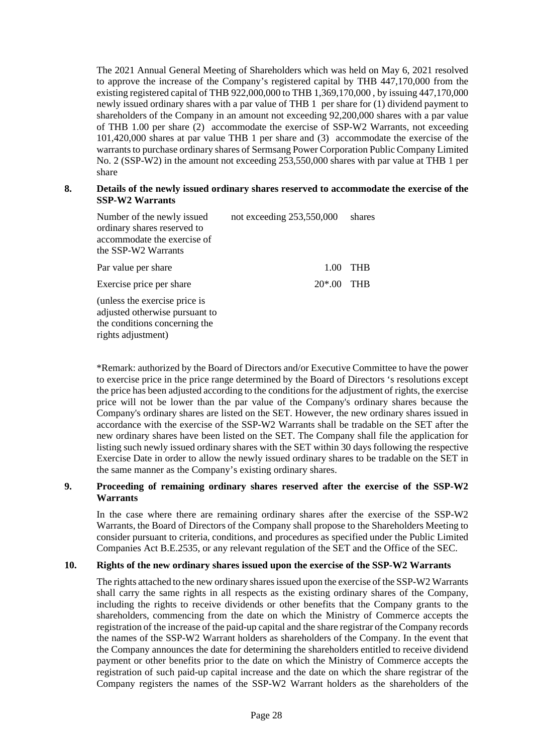The 2021 Annual General Meeting of Shareholders which was held on May 6, 2021 resolved to approve the increase of the Company's registered capital by THB 447,170,000 from the existing registered capital of THB 922,000,000 to THB 1,369,170,000 , by issuing 447,170,000 newly issued ordinary shares with a par value of THB 1 per share for (1) dividend payment to shareholders of the Company in an amount not exceeding 92,200,000 shares with a par value of THB 1.00 per share (2) accommodate the exercise of SSP-W2 Warrants, not exceeding 101,420,000 shares at par value THB 1 per share and (3) accommodate the exercise of the warrants to purchase ordinary shares of Sermsang Power Corporation Public Company Limited No. 2 (SSP-W2) in the amount not exceeding 253,550,000 shares with par value at THB 1 per share

#### **8. Details of the newly issued ordinary shares reserved to accommodate the exercise of the SSP-W2 Warrants**

| Number of the newly issued<br>ordinary shares reserved to<br>accommodate the exercise of<br>the SSP-W2 Warrants        | not exceeding 253,550,000 | shares     |
|------------------------------------------------------------------------------------------------------------------------|---------------------------|------------|
| Par value per share                                                                                                    | 1.00                      | THB        |
| Exercise price per share                                                                                               | $20*00$                   | <b>THR</b> |
| (unless the exercise price is<br>adjusted otherwise pursuant to<br>the conditions concerning the<br>rights adjustment) |                           |            |

\*Remark: authorized by the Board of Directors and/or Executive Committee to have the power to exercise price in the price range determined by the Board of Directors 's resolutions except the price has been adjusted according to the conditions for the adjustment of rights, the exercise price will not be lower than the par value of the Company's ordinary shares because the Company's ordinary shares are listed on the SET. However, the new ordinary shares issued in accordance with the exercise of the SSP-W2 Warrants shall be tradable on the SET after the new ordinary shares have been listed on the SET. The Company shall file the application for listing such newly issued ordinary shares with the SET within 30 days following the respective Exercise Date in order to allow the newly issued ordinary shares to be tradable on the SET in the same manner as the Company's existing ordinary shares.

#### **9. Proceeding of remaining ordinary shares reserved after the exercise of the SSP-W2 Warrants**

In the case where there are remaining ordinary shares after the exercise of the SSP-W2 Warrants, the Board of Directors of the Company shall propose to the Shareholders Meeting to consider pursuant to criteria, conditions, and procedures as specified under the Public Limited Companies Act B.E.2535, or any relevant regulation of the SET and the Office of the SEC.

#### **10. Rights of the new ordinary shares issued upon the exercise of the SSP-W2 Warrants**

The rights attached to the new ordinary shares issued upon the exercise of the SSP-W2 Warrants shall carry the same rights in all respects as the existing ordinary shares of the Company, including the rights to receive dividends or other benefits that the Company grants to the shareholders, commencing from the date on which the Ministry of Commerce accepts the registration of the increase of the paid-up capital and the share registrar of the Company records the names of the SSP-W2 Warrant holders as shareholders of the Company. In the event that the Company announces the date for determining the shareholders entitled to receive dividend payment or other benefits prior to the date on which the Ministry of Commerce accepts the registration of such paid-up capital increase and the date on which the share registrar of the Company registers the names of the SSP-W2 Warrant holders as the shareholders of the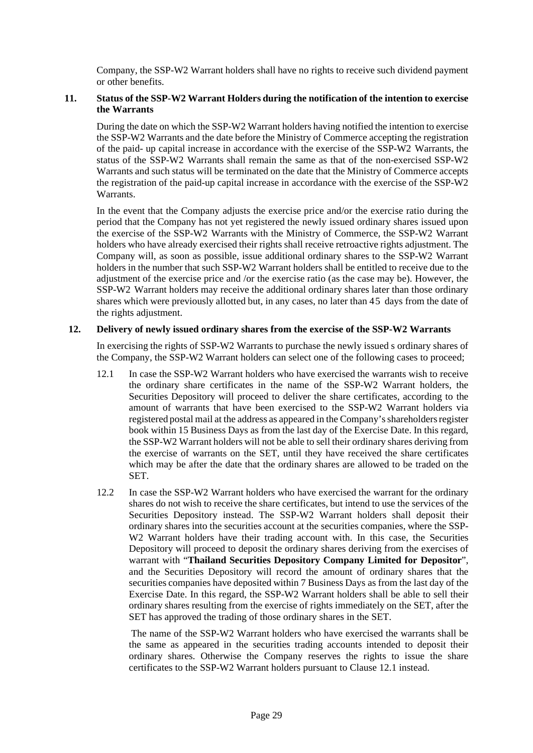Company, the SSP-W2 Warrant holders shall have no rights to receive such dividend payment or other benefits.

#### **11. Status of the SSP-W2 Warrant Holders during the notification of the intention to exercise the Warrants**

During the date on which the SSP-W2 Warrant holders having notified the intention to exercise the SSP-W2 Warrants and the date before the Ministry of Commerce accepting the registration of the paid- up capital increase in accordance with the exercise of the SSP-W2 Warrants, the status of the SSP-W2 Warrants shall remain the same as that of the non-exercised SSP-W2 Warrants and such status will be terminated on the date that the Ministry of Commerce accepts the registration of the paid-up capital increase in accordance with the exercise of the SSP-W2 Warrants.

In the event that the Company adjusts the exercise price and/or the exercise ratio during the period that the Company has not yet registered the newly issued ordinary shares issued upon the exercise of the SSP-W2 Warrants with the Ministry of Commerce, the SSP-W2 Warrant holders who have already exercised their rights shall receive retroactive rights adjustment. The Company will, as soon as possible, issue additional ordinary shares to the SSP-W2 Warrant holders in the number that such SSP-W2 Warrant holders shall be entitled to receive due to the adjustment of the exercise price and /or the exercise ratio (as the case may be). However, the SSP-W2 Warrant holders may receive the additional ordinary shares later than those ordinary shares which were previously allotted but, in any cases, no later than 45 days from the date of the rights adjustment.

#### **12. Delivery of newly issued ordinary shares from the exercise of the SSP-W2 Warrants**

In exercising the rights of SSP-W2 Warrants to purchase the newly issued s ordinary shares of the Company, the SSP-W2 Warrant holders can select one of the following cases to proceed;

- 12.1 In case the SSP-W2 Warrant holders who have exercised the warrants wish to receive the ordinary share certificates in the name of the SSP-W2 Warrant holders, the Securities Depository will proceed to deliver the share certificates, according to the amount of warrants that have been exercised to the SSP-W2 Warrant holders via registered postal mail at the address as appeared in the Company's shareholders register book within 15 Business Days as from the last day of the Exercise Date. In this regard, the SSP-W2 Warrant holders will not be able to sell their ordinary shares deriving from the exercise of warrants on the SET, until they have received the share certificates which may be after the date that the ordinary shares are allowed to be traded on the SET.
- 12.2 In case the SSP-W2 Warrant holders who have exercised the warrant for the ordinary shares do not wish to receive the share certificates, but intend to use the services of the Securities Depository instead. The SSP-W2 Warrant holders shall deposit their ordinary shares into the securities account at the securities companies, where the SSP-W<sub>2</sub> Warrant holders have their trading account with. In this case, the Securities Depository will proceed to deposit the ordinary shares deriving from the exercises of warrant with "**Thailand Securities Depository Company Limited for Depositor**", and the Securities Depository will record the amount of ordinary shares that the securities companies have deposited within 7 Business Days as from the last day of the Exercise Date. In this regard, the SSP-W2 Warrant holders shall be able to sell their ordinary shares resulting from the exercise of rights immediately on the SET, after the SET has approved the trading of those ordinary shares in the SET.

 The name of the SSP-W2 Warrant holders who have exercised the warrants shall be the same as appeared in the securities trading accounts intended to deposit their ordinary shares. Otherwise the Company reserves the rights to issue the share certificates to the SSP-W2 Warrant holders pursuant to Clause 12.1 instead.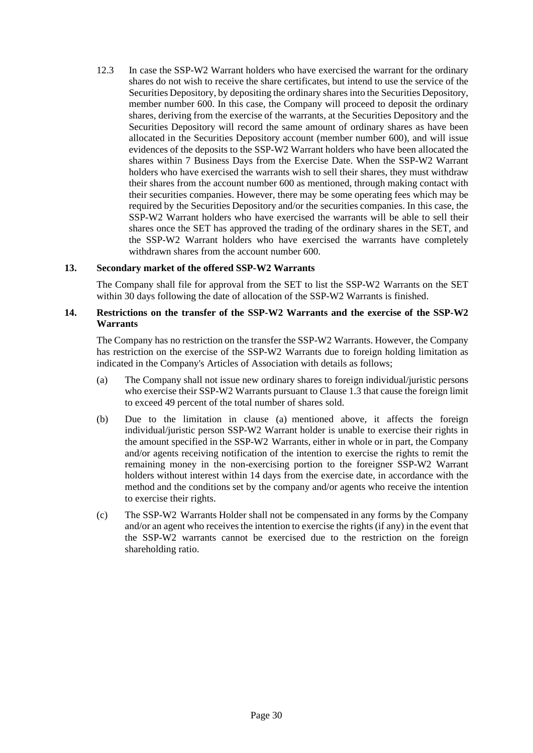12.3 In case the SSP-W2 Warrant holders who have exercised the warrant for the ordinary shares do not wish to receive the share certificates, but intend to use the service of the Securities Depository, by depositing the ordinary shares into the Securities Depository, member number 600. In this case, the Company will proceed to deposit the ordinary shares, deriving from the exercise of the warrants, at the Securities Depository and the Securities Depository will record the same amount of ordinary shares as have been allocated in the Securities Depository account (member number 600), and will issue evidences of the deposits to the SSP-W2 Warrant holders who have been allocated the shares within 7 Business Days from the Exercise Date. When the SSP-W2 Warrant holders who have exercised the warrants wish to sell their shares, they must withdraw their shares from the account number 600 as mentioned, through making contact with their securities companies. However, there may be some operating fees which may be required by the Securities Depository and/or the securities companies. In this case, the SSP-W2 Warrant holders who have exercised the warrants will be able to sell their shares once the SET has approved the trading of the ordinary shares in the SET, and the SSP-W2 Warrant holders who have exercised the warrants have completely withdrawn shares from the account number 600.

#### **13. Secondary market of the offered SSP-W2 Warrants**

The Company shall file for approval from the SET to list the SSP-W2 Warrants on the SET within 30 days following the date of allocation of the SSP-W2 Warrants is finished.

#### **14. Restrictions on the transfer of the SSP-W2 Warrants and the exercise of the SSP-W2 Warrants**

The Company has no restriction on the transfer the SSP-W2 Warrants. However, the Company has restriction on the exercise of the SSP-W2 Warrants due to foreign holding limitation as indicated in the Company's Articles of Association with details as follows;

- (a) The Company shall not issue new ordinary shares to foreign individual/juristic persons who exercise their SSP-W2 Warrants pursuant to Clause 1.3 that cause the foreign limit to exceed 49 percent of the total number of shares sold.
- (b) Due to the limitation in clause (a) mentioned above, it affects the foreign individual/juristic person SSP-W2 Warrant holder is unable to exercise their rights in the amount specified in the SSP-W2 Warrants, either in whole or in part, the Company and/or agents receiving notification of the intention to exercise the rights to remit the remaining money in the non-exercising portion to the foreigner SSP-W2 Warrant holders without interest within 14 days from the exercise date, in accordance with the method and the conditions set by the company and/or agents who receive the intention to exercise their rights.
- (c) The SSP-W2 Warrants Holder shall not be compensated in any forms by the Company and/or an agent who receives the intention to exercise the rights (if any) in the event that the SSP-W2 warrants cannot be exercised due to the restriction on the foreign shareholding ratio.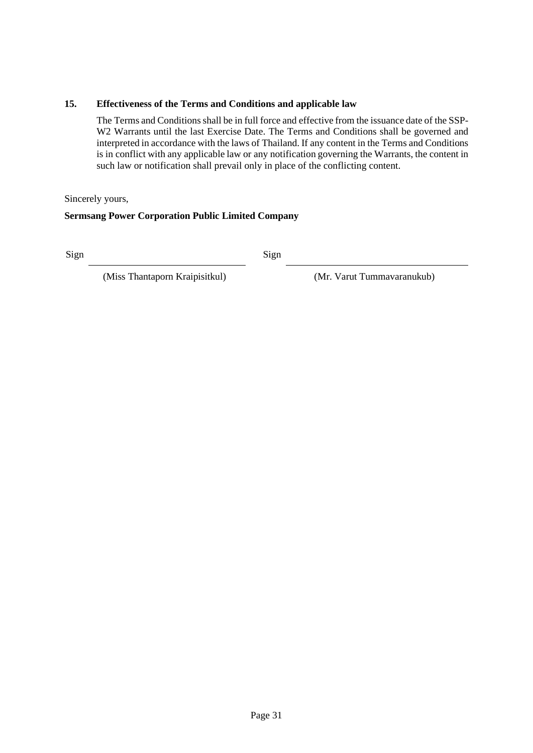#### **15. Effectiveness of the Terms and Conditions and applicable law**

The Terms and Conditions shall be in full force and effective from the issuance date of the SSP-W2 Warrants until the last Exercise Date. The Terms and Conditions shall be governed and interpreted in accordance with the laws of Thailand. If any content in the Terms and Conditions is in conflict with any applicable law or any notification governing the Warrants, the content in such law or notification shall prevail only in place of the conflicting content.

Sincerely yours,

#### **Sermsang Power Corporation Public Limited Company**

Sign Sign

(Miss Thantaporn Kraipisitkul) (Mr. Varut Tummavaranukub)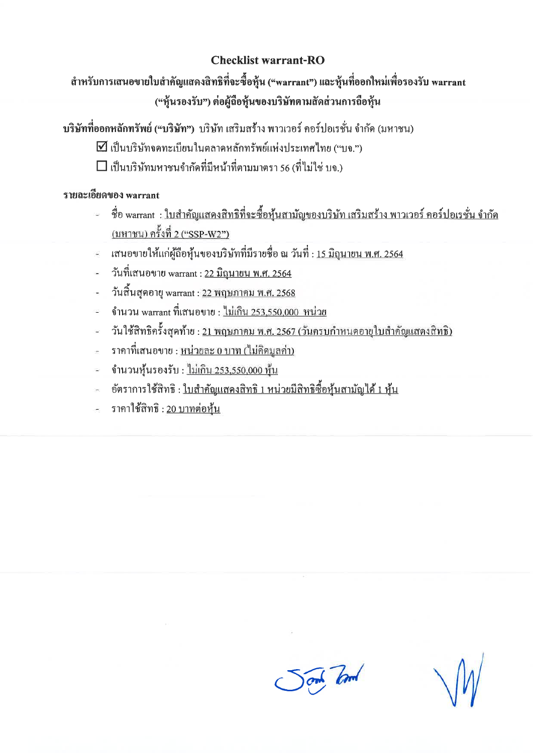### **Checklist warrant-RO**

สำหรับการเสนอขายใบสำคัญแสดงสิทธิที่จะซื้อหุ้น ("warrant") และหุ้นที่ออกใหม่เพื่อรองรับ warrant ("หุ้นรองรับ") ต่อผู้ถือหุ้นของบริษัทตามสัดส่วนการถือหุ้น

ิบริษัทที่ออกหลักทรัพย์ ("บริษัท") บริษัท เสริมสร้าง พาวเวอร์ คอร์ปอเรชั่น จำกัด (มหาชน)

- $\Delta$ เป็นบริษัทจดทะเบียนในตลาดหลักทรัพย์แห่งประเทศไทย ("บจ.")
- $\square$  เป็นบริษัทมหาชนจำกัดที่มีหน้าที่ตามมาตรา 56 (ที่ไม่ใช่ บจ.)

# รายละเอียดของ warrant

- ู้ ชื่อ warrant : <u>ใบสำคัญแสดงสิทธิที่จะซื้อหุ้นสามัญของบริษัท เสริมสร้าง พาวเวอร์ คอร์ปอเรชั่น จำกัด</u> (มหาชน) ครั้งที่ 2 ("SSP-W2")
- เสนอขายให้แก่ผู้ถือหุ้นของบริษัทที่มีรายชื่อ ณ วันที่ : <u>15 มิถุนายน พ.ศ. 2564</u>
- วันที่เสนอขาย warrant : <u>22 มิถุนายน พ.ศ. 2564</u>
- วันสิ้นสุดอายุ warrant : <u>22 พฤษภาคม พ.ศ. 2568</u>
- ึ จำนวน warrant ที่เสนอขาย : ไม่เกิน 253,550,000 หน่วย .<br>При
- ้วันใช้สิทธิกรั้งสุดท้าย : <u>21 พฤษภาคม พ.ศ. 2567 (วันครบกำหนดอายุใบสำคัญแสดงสิทธิ)</u>  $\overline{a}$
- ้ ราคาที่เสนอขาย : หน่วยละ 0 บาท (ไม่คิดมลค่า)
- จำนวนหุ้นรองรับ : ไม่เกิน 253,550,000 หุ้น  $\frac{1}{2}$
- ่ อัตราการใช้สิทธิ : <u>ใบสำคัญแสคงสิทธิ 1 หน่วยมีสิทธิซื้อหุ้นสามัญได้ 1 หุ้น</u>
- ราคาใช้สิทธิ : 20 บาทต่อห้น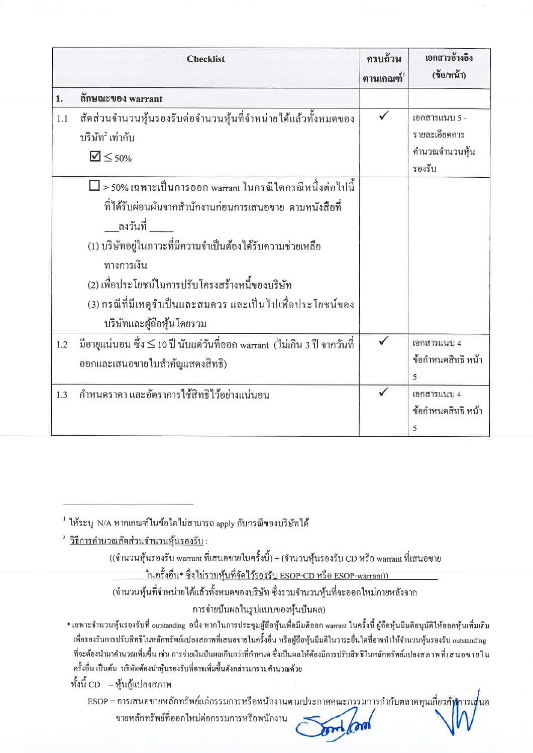|     | <b>Checklist</b>                                                                                                                                                                                                                                                                                                                            | ครบถ้วน<br>ตามเกณฑ์ $^1$ | เอกสารอ้างอิง<br>(ข้อ/หน้า)                                |
|-----|---------------------------------------------------------------------------------------------------------------------------------------------------------------------------------------------------------------------------------------------------------------------------------------------------------------------------------------------|--------------------------|------------------------------------------------------------|
| 1.  | ถักษณะของ warrant                                                                                                                                                                                                                                                                                                                           |                          |                                                            |
| 1.1 | สัคส่วนจำนวนหุ้นรองรับต่อจำนวนหุ้นที่จำหน่ายใด้แล้วทั้งหมดของ<br>บริษัท ํเท่ากับ<br>$\mathbf{V} \leq 50\%$                                                                                                                                                                                                                                  | $\checkmark$             | เอกสารแนบ 5 -<br>รายละเอียคการ<br>คำนวณจำนวนหุ้น<br>รองรับ |
|     | >50% เฉพาะเป็นการออก warrant ในกรณีใคกรณีหนึ่งต่อไปนี้<br>ที่ได้รับผ่อนผันจากสำนักงานก่อนการเสนอขาย ตามหนังสือที่<br>(1) บริษัทอยู่ในภาวะที่มีความจำเป็นต้องได้รับความช่วยเหลือ<br>ทางการเงิน<br>(2) เพื่อประโยชน์ในการปรับโครงสร้างหนี้ของบริษัท<br>(3) กรณีที่มีเหตุจำเป็นและสมควร และเป็นไปเพื่อประโยชน์ของ<br>บริษัทและผู้ถือหุ้นโดยรวม |                          |                                                            |
| 1.2 | มือายุแน่นอน ซึ่ง ≤ 10 ปี นับแต่วันที่ออก warrant  (ไม่เกิน 3 ปี จากวันที่<br>ออกและเสนอขายใบสำคัญแสคงสิทธิ)                                                                                                                                                                                                                                |                          | เอกสารแนบ 4<br>ข้อกำหนดสิทธิ หน้า<br>$\overline{5}$        |
| 1.3 | กำหนดรากา และอัตราการใช้สิทธิไว้อย่างแน่นอน                                                                                                                                                                                                                                                                                                 |                          | เอกสารแนบ 4<br>ข้อกำหนดสิทธิ หน้า<br>5                     |

((จำนวนหุ้นรองรับ warrant ที่เสนอขายในครั้งนี้) + (จำนวนหุ้นรองรับ CD หรือ warrant ที่เสนอขาย <u>ในครั้งอื่น\* ซึ่งไม่รวมหุ้นที่จัดไว้รองรับ ESOP-CD หรือ ESOP-warrant))</u>

(จำนวนหุ้นที่จำหน่ายได้แล้วทั้งหมดของบริษัท ซึ่งรวมจำนวนหุ้นที่จะออกใหม่ภายหลังจาก การจ่ายปั้นผลในรูปแบบของหุ้นปั้นผล)

\* เฉพาะจำนวนหุ้นรองรับที่ outstanding อนึ่ง หากในการประชุมผู้ถือหุ้นเพื่อมีมดิออก warrant ในครั้งนี้ ผู้ถือหุ้นมีมดิอนุมัติให้ออกหุ้นเพิ่มเดิม เพื่อรองรับการปรับสิทธิในหลักทรัพย์แปลงสภาพที่เสนอขายในครั้งอื่น หรือผู้ถือหุ้นมีมติในวาระอื่นใดที่อาจทำให้จำนวนหุ้นรองรับ outstanding ที่จะต้องนำมาคำนวณเพิ่มขึ้น เช่น การจ่ายเงินปืนผลเกินกว่าที่กำหนด ซึ่งเป็นผลให้ต้องมีการปรับสิทธิในหลักทรัพย์แปลงสภาพที่เสนอขายใน ครั้งอื่น เป็นด้น บริษัทด้องนำหุ้นรองรับที่อาจเพิ่มขึ้นดังกล่าวมารวมคำนวณด้วย

ทั้งนี้ CD = หุ้นกู้แปลงสภาพ

ESOP = การเสนอขายหลักทรัพย์แก่กรรมการหรือพนักงานตามประกาศคณะกรรมการกำกับตลาดทุนเกี่ยวกั**ฬ**การเสนอ ขายหลักทรัพย์ที่ออกใหม่ต่อกรรมการหรือพนักงาน

 $^{\rm 1}$  ให้ระบุ N/A หากเกณฑ์ในข้อใคไม่สามารถ apply กับกรณีของบริษัทได้

<sup>&</sup>lt;sup>2</sup> วิธีการคำนวณสัดส่วนจำนวนห้นรองรับ :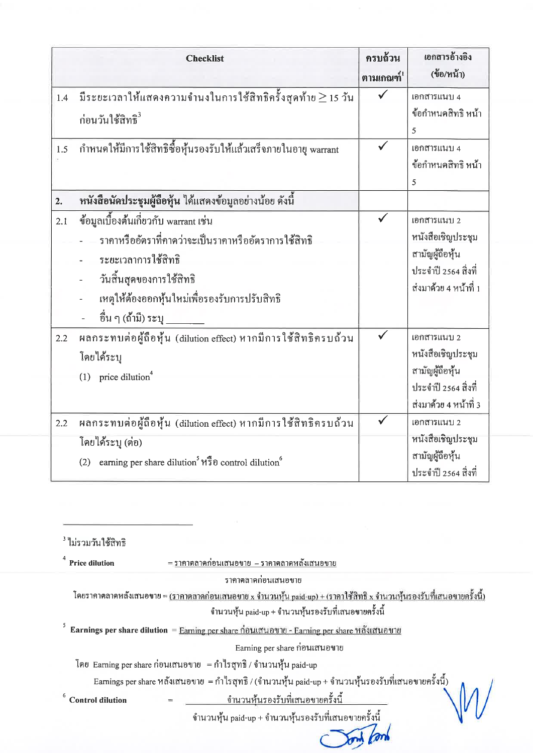|     | <b>Checklist</b>                                                                                                                                                                                                          | ครบถ้วน<br>ตามเกณฑ์ <sup>1</sup> | เอกสารอ้างอิง<br>(ข้อ/หน้า)                                                                          |
|-----|---------------------------------------------------------------------------------------------------------------------------------------------------------------------------------------------------------------------------|----------------------------------|------------------------------------------------------------------------------------------------------|
| 1.4 | มีระยะเวลาให้แสดงความจำนงในการใช้สิทธิครั้งสุดท้าย $\geq$ 15 วัน<br>ก่อนวันใช้สิทธิ <sup>3</sup>                                                                                                                          | $\checkmark$                     | เอกสารแนบ 4<br>ข้อกำหนดสิทธิ หน้า<br>5                                                               |
| 1.5 | กำหนดให้มีการใช้สิทธิซื้อหุ้นรองรับให้แล้วเสร็จภายในอายุ warrant                                                                                                                                                          | $\checkmark$                     | เอกสารแนบ 4<br>ข้อกำหนดสิทธิ หน้า<br>5                                                               |
| 2.  | หนังสือนัดประชุมผู้ถือหุ้น ได้แสดงข้อมูลอย่างน้อย ดังนี้                                                                                                                                                                  |                                  |                                                                                                      |
| 2.1 | ข้อมูลเบื้องต้นเกี่ยวกับ warrant เช่น<br>ราคาหรืออัตราที่คาคว่าจะเป็นราคาหรืออัตราการใช้สิทธิ<br>ระยะเวลาการใช้สิทธิ<br>วันสิ้นสุดของการใช้สิทธิ<br>เหตุให้ต้องออกหุ้นใหม่เพื่อรองรับการปรับสิทธิ<br>้อื่น ๆ (ถ้ำมี) ระบุ | $\checkmark$                     | เอกสารแนบ 2<br>หนังสือเชิญประชุม<br>สามัญผู้ถือหุ้น<br>ประจำปี 2564 สิ่งที่<br>ส่งมาค้วย 4 หน้าที่ 1 |
| 2.2 | ผลกระทบต่อผู้ถือหุ้น (dilution effect) หากมีการใช้สิทธิครบถ้วน<br>โดยได้ระบุ<br>(1) price dilution <sup>4</sup>                                                                                                           | $\checkmark$                     | เอกสารแนบ 2<br>หนังสือเชิญประชุม<br>สามัญผู้ถือหุ้น<br>ประจำปี 2564 สิ่งที่<br>ส่งมาค้วย 4 หน้าที่ 3 |
| 2.2 | ผลกระทบต่อผู้ถือหุ้น (dilution effect) หากมีการใช้สิทธิครบถ้วน<br>โดยใด้ระบุ (ต่อ)<br>earning per share dilution <sup>5</sup> หรือ control dilution <sup>6</sup><br>(2)                                                   |                                  | เอกสารแนบ 2<br>หนังสือเชิญประชุม<br>สามัญผู้ถือหุ้น                                                  |
|     |                                                                                                                                                                                                                           |                                  | ประจำปี 2564 สิ่งที่                                                                                 |

<sup>3</sup> ไม่รวมวันใช้สิทธิ  $\overline{4}$ 

| <b>Price dilution</b>   | = รากาตลาดกอนเสนอขาย  – รากาตลาดหลงเสนอขาย                                                                                    |
|-------------------------|-------------------------------------------------------------------------------------------------------------------------------|
|                         | ราคาคลาคก่อนเสนอขาย                                                                                                           |
|                         | โดยราคาตลาดหลังเสนอขาย = <u>(ราคาตลาดก่อนเสนอขาย x จำนวนหุ้น paid-up) + (ราคาใช้สิทธิ x จำนวนหุ้นรองรับที่เสนอขายครั้งนี้</u> |
|                         | จำนวนหุ้น paid-up + จำนวนหุ้นรองรับที่เสนอขายครั้งนี้                                                                         |
|                         | Earnings per share dilution = Earning per share ก่อนเสนอขาย - Earning per share หลังเสนอขาย                                   |
|                         | Earning per share ก่อนเสนอขาย                                                                                                 |
|                         | โดย Earning per share ก่อนเสนอขาย  = กำไรสุทธิ / จำนวนหุ้น paid-up                                                            |
|                         | Earnings per share หลังเสนอขาย  = กำไรสุทธิ / (จำนวนหุ้น paid-up + จำนวนหุ้นรองรับที่เสนอขายครั้งนี้)                         |
| <b>Control dilution</b> | <u>ิจำนวนหันรองรับที่เสนอขายครั้งนี้</u>                                                                                      |
|                         | จำนวนหุ้น paid-up + จำนวนหุ้นรองรับที่เสนอขายครั้งนี้                                                                         |
|                         |                                                                                                                               |
|                         |                                                                                                                               |

 $\sim$ 

j.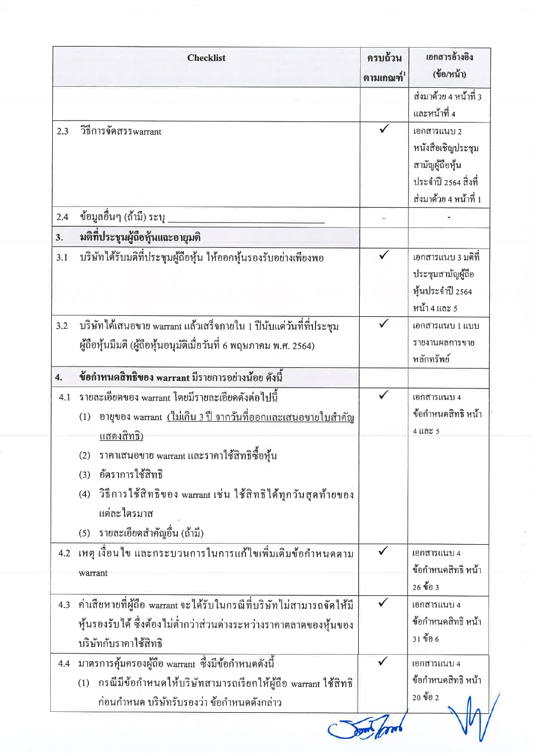|                  | <b>Checklist</b>                                                                                                                                                     | ครบถ้วน<br>ตามเกณฑ์ $1$ | เอกสารอ้างอิง<br>(ข้อ/หน้า)                                                                          |
|------------------|----------------------------------------------------------------------------------------------------------------------------------------------------------------------|-------------------------|------------------------------------------------------------------------------------------------------|
|                  |                                                                                                                                                                      |                         | ส่งมาค้วย 4 หน้าที่ 3<br>และหน้าที่ 4                                                                |
| 2.3              | วิธีการจัดสรรwarrant                                                                                                                                                 | $\checkmark$            | เอกสารแนบ 2<br>หนังสือเชิญประชุม<br>สามัญผู้ถือหุ้น<br>ประจำปี 2564 สิ่งที่<br>ส่งมาค้วย 4 หน้าที่ 1 |
| 2.4              | ข้อมูลอื่นๆ (ถ้ามี) ระบุ                                                                                                                                             |                         |                                                                                                      |
| 3.               | มติที่ประชุมผู้ถือหุ้นและอายุมติ                                                                                                                                     |                         |                                                                                                      |
| 3.1              | บริษัทใด้รับมติที่ประชุมผู้ถือหุ้น ให้ออกหุ้นรองรับอย่างเพียงพอ                                                                                                      |                         | เอกสารแนบ 3 มติที่<br>ประชุมสามัญผู้ถือ<br>หุ้นประจำปี 2564<br>หน้า 4 และ 5                          |
| 3.2              | บริษัทได้เสนอขาย warrant แล้วเสร็จภายใน 1 ปีนับแต่วันที่ที่ประชุม<br>ผู้ถือหุ้นมีมติ (ผู้ถือหุ้นอนุมัติเมื่อวันที่ 6 พฤษภาคม พ.ศ. 2564)                              |                         | เอกสารแนบ 1 แบบ<br>รายงานผลการขาย<br>หลักทรัพย์                                                      |
| $\overline{4}$ . | ข้อกำหนดสิทธิของ warrant มีรายการอย่างน้อย ดังนี้                                                                                                                    |                         |                                                                                                      |
| 4.1              | รายละเอียดของ warrant โดยมีรายละเอียดดังต่อไปนี้<br>อายุของ warrant (ไม่เกิน 3 ปี จากวันที่ออกและเสนอขายใบสำคัญ<br>(1)<br><u>แสดงสิทธิ)</u>                          |                         | เอกสารแนบ 4<br>ข้อกำหนดสิทธิ หน้า<br>$4$ $\mu$ a $\approx$ 5                                         |
|                  | ราคาเสนอขาย warrant และราคาใช้สิทธิซื้อหุ้น<br>(2)<br>อัตราการใช้สิทธิ<br>(3)<br>วิธีการใช้สิทธิของ warrant เช่น ใช้สิทธิได้ทุกวันสุดท้ายของ<br>(4)<br>แต่ละไตรมาส   |                         |                                                                                                      |
|                  | รายละเอียดสำคัญอื่น (ถ้ามี)<br>(5)                                                                                                                                   |                         |                                                                                                      |
|                  | 4.2 เหตุ เงื่อนไข และกระบวนการในการแก้ไขเพิ่มเติมข้อกำหนดตาม<br>warrant                                                                                              |                         | เอกสารแนบ 4<br>ข้อกำหนดสิทธิ หน้า<br>26 ข้อ 3                                                        |
| 4.3              | ค่าเสียหายที่ผู้ถือ warrant จะได้รับในกรณีที่บริษัทไม่สามารถจัดให้มี<br>หุ้นรองรับได้ ซึ่งต้องไม่ต่ำกว่าส่วนต่างระหว่างรากาตลาดของหุ้นของ<br>บริษัทกับราคาใช้สิทธิ   |                         | เอกสารแนบ 4<br>ข้อกำหนดสิทธิ หน้า<br>31 ข้อ 6                                                        |
| 4.4              | มาตรการคุ้มครองผู้ถือ warrant ซึ่งมีข้อกำหนดดังนี้<br>(1) กรณีมีข้อกำหนดให้บริษัทสามารถเรียกให้ผู้ถือ warrant ใช้สิทธิ<br>ก่อนกำหนด บริษัทรับรองว่า ข้อกำหนดดังกล่าว |                         | เอกสารแนบ 4<br>ข้อกำหนดสิทธิ หน้า<br>20 ข้อ 2                                                        |

 $\frac{\omega}{\omega}$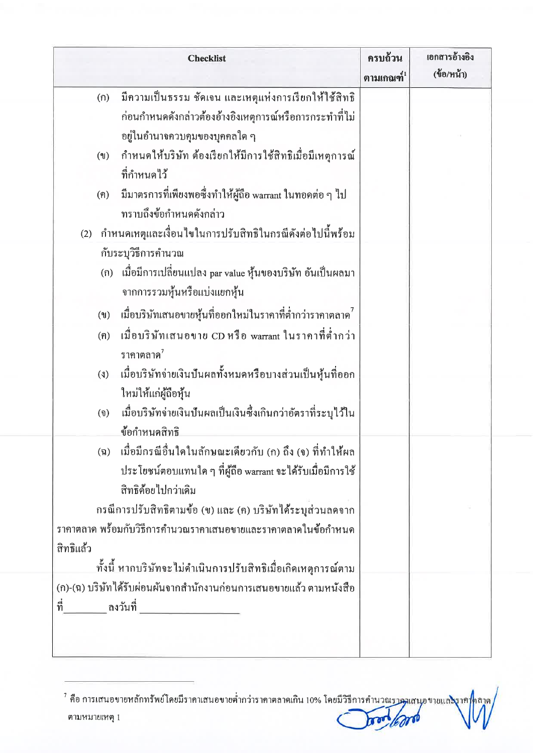|                                  | <b>Checklist</b>                                                    | ครบถ้วน<br>ตามเกณฑ์ $^1$ | เอกสารอ้างอิง<br>(ข้อ/หน้า) |
|----------------------------------|---------------------------------------------------------------------|--------------------------|-----------------------------|
| (n)                              | มีความเป็นธรรม ชัดเจน และเหตุแห่งการเรียกให้ใช้สิทธิ                |                          |                             |
|                                  | ก่อนกำหนดดังกล่าวต้องอ้างอิงเหตุการณ์หรือการกระทำที่ไม่             |                          |                             |
|                                  | อยู่ในอำนาจควบคุมของบุคคลใด ๆ                                       |                          |                             |
| $($ $\mathbb{N}$                 | กำหนดให้บริษัท ต้องเรียกให้มีการใช้สิทธิเมื่อมีเหตุการณ์            |                          |                             |
|                                  | ที่กำหนดไว้                                                         |                          |                             |
| (ค)                              | มีมาตรการที่เพียงพอซึ่งทำให้ผู้ถือ warrant ในทอดต่อ ๆ ไป            |                          |                             |
|                                  | ทราบถึงข้อกำหนดดังกล่าว                                             |                          |                             |
|                                  | (2) กำหนดเหตุและเงื่อนใขในการปรับสิทธิในกรณีดังต่อไปนี้พร้อม        |                          |                             |
|                                  | กับระบุวิธีการคำนวณ                                                 |                          |                             |
| (n)                              | เมื่อมีการเปลี่ยนแปลง par value หุ้นของบริษัท อันเป็นผลมา           |                          |                             |
|                                  | จากการรวมหุ้นหรือแบ่งแยกหุ้น                                        |                          |                             |
| (9)                              | ้ เมื่อบริษัทเสนอขายหุ้นที่ออกใหม่ในราคาที่ต่ำกว่าราคาตลาด $^7\,$   |                          |                             |
| (n)                              | เมื่อบริษัทเสนอขาย CD หรือ warrant ในราคาที่ต่ำกว่า                 |                          |                             |
|                                  | ราคาตลาด $^7$                                                       |                          |                             |
| $(\ell)$                         | เมื่อบริษัทจ่ายเงินปันผลทั้งหมดหรือบางส่วนเป็นหุ้นที่ออก            |                          |                             |
|                                  | ใหม่ให้แก่ผู้ถือหุ้น                                                |                          |                             |
| $\left( \mathbf{\hat{v}}\right)$ | เมื่อบริษัทจ่ายเงินปั้นผลเป็นเงินซึ่งเกินกว่าอัตราที่ระบุไว้ใน      |                          |                             |
|                                  | ข้อกำหนดสิทธิ                                                       |                          |                             |
| $(\mathfrak{g})$                 | เมื่อมีกรณีอื่นใดในลักษณะเดียวกับ (ก) ถึง (จ) ที่ทำให้ผล            |                          |                             |
|                                  | ประโยชน์ตอบแทนใด ๆ ที่ผู้ถือ warrant จะได้รับเมื่อมีการใช้          |                          |                             |
|                                  | สิทธิค้อยไปกว่าเคิม                                                 |                          |                             |
|                                  | กรณีการปรับสิทธิตามข้อ (ข) และ (ค) บริษัทใค้ระบุส่วนลดจาก           |                          |                             |
|                                  | ราคาตลาด พร้อมกับวิธีการคำนวณราคาเสนอขายและราคาตลาดในข้อกำหนด       |                          |                             |
| สิทธิแล้ว                        |                                                                     |                          |                             |
|                                  | ทั้งนี้ หากบริษัทจะไม่คำเนินการปรับสิทธิเมื่อเกิดเหตุการณ์ตาม       |                          |                             |
|                                  | (ก)-(ฉ) บริษัทใค้รับผ่อนผันจากสำนักงานก่อนการเสนอขายแล้ว ตามหนังสือ |                          |                             |
| ที่<br>ลงวันที่                  |                                                                     |                          |                             |

<sup>&</sup>lt;sup>7</sup> คือ การเสนอขายหลักทรัพย์โคยมีราคาเสนอขายต่ำกว่าราคาตลาดเกิน 10% โคยมีวิธีการคำนวณรา<mark>คมเสน</mark>อขายแล**ะ**งาค าถาค / ตามหมายเหตุ 1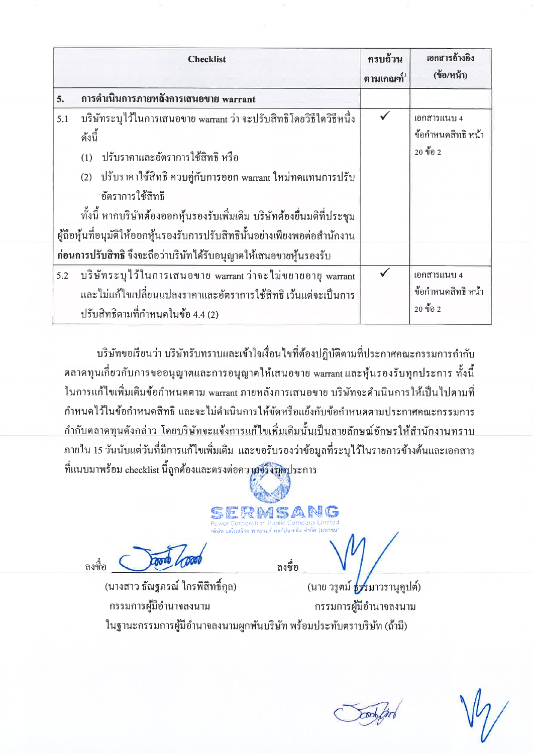|     | <b>Checklist</b>                                                                                                                                                                                                                                                                                                                                                                        | ครบถ้วน<br>ตามเกณฑ์ $1$ | เอกสารอ้างอิง<br>(ข้อ/หน้า)                   |
|-----|-----------------------------------------------------------------------------------------------------------------------------------------------------------------------------------------------------------------------------------------------------------------------------------------------------------------------------------------------------------------------------------------|-------------------------|-----------------------------------------------|
| 5.  | การดำเนินการภายหลังการเสนอขาย warrant                                                                                                                                                                                                                                                                                                                                                   |                         |                                               |
| 5.1 | บริษัทระบุไว้ในการเสนอขาย warrant ว่า จะปรับสิทธิโคยวิธีใควิธีหนึ่ง<br>ดังนี้<br>ปรับราคาและอัตราการใช้สิทธิ หรือ<br>(1)<br>ปรับราคาใช้สิทธิ์ ควบคู่กับการออก warrant ใหม่ทดแทนการปรับ<br>(2)<br><sub>ี</sub> อัตราการใช้สิทธิ<br>ทั้งนี้ หากบริษัทต้องออกหุ้นรองรับเพิ่มเติม บริษัทต้องยื่นมติที่ประชุม<br>ผู้ถือหุ้นที่อนุมัติให้ออกหุ้นรองรับการปรับสิทธินั้นอย่างเพียงพอต่อสำนักงาน | $\checkmark$            | เอกสารแนบ 4<br>ข้อกำหนดสิทธิ หน้า<br>20 ข้อ 2 |
|     | ก่อนการปรับสิทธิ จึงจะถือว่าบริษัท ได้รับอนุญาตให้เสนอขายหุ้นรองรับ                                                                                                                                                                                                                                                                                                                     |                         |                                               |
| 5.2 | บริษัทระบุไว้ในการเสนอขาย warrant ว่าจะไม่ขยายอายุ warrant<br>และไม่แก้ไขเปลี่ยนแปลงราคาและอัตราการใช้สิทธิ เว้นแต่จะเป็นการ<br>ปรับสิทธิตามที่กำหนดในข้อ 4.4 (2)                                                                                                                                                                                                                       | $\checkmark$            | เอกสารแนบ 4<br>ข้อกำหนดสิทธิ หน้า<br>20 ข้อ 2 |

บริษัทขอเรียนว่า บริษัทรับทราบและเข้าใจเงื่อนไขที่ต้องปฏิบัติตามที่ประกาศคณะกรรมการกำกับ ิตลาดทุนเกี่ยวกับการขออนุญาตและการอนุญาตให้เสนอขาย warrant และหุ้นรองรับทุกประการ ทั้งนี้ ในการแก้ไขเพิ่มเติมข้อกำหนดตาม warrant ภายหลังการเสนอขาย บริษัทจะคำเนินการให้เป็นไปตามที่ ้กำหนดไว้ในข้อกำหนดสิทธิ และจะไม่คำเนินการให้ขัดหรือแย้งกับข้อกำหนดตามประกาศคณะกรรมการ ้กำกับตลาคทุนดังกล่าว โดยบริษัทจะแจ้งการแก้ไขเพิ่มเติมนั้นเป็นลายลักษณ์อักษรให้สำนักงานทราบ ภายใน 15 วันนับแต่วันที่มีการแก้ไขเพิ่มเติม และขอรับรองว่าข้อมูลที่ระบุไว้ในรายการข้างต้นและเอกสาร ที่แนบมาพร้อม checklist นี้ถูกต้องและตรงต่อความจริงทุกประการ

ถงชื่อ

(นางสาว ธัณฐภรณ์ ใกรพิสิทธิ์กุล)

กรรมการผู้มีอำนาจลงนาม

ลงชื่อ (นาย วรุตม์ ธรรมาวรานุคุปต์) กรรมการผู้มีอำนาจลงนาม

SANG

ในฐานะกรรมการผู้มีอำนาจลงนามผูกพันบริษัท พร้อมประทับตราบริษัท (ถ้ามี)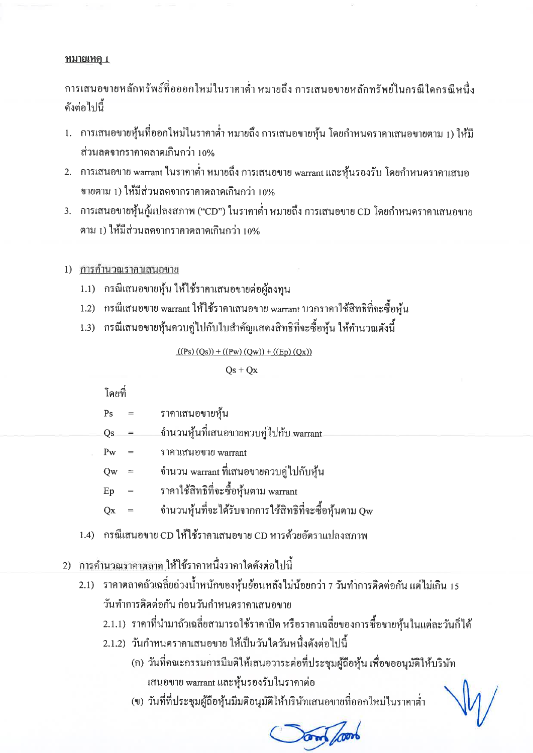#### <u>หมายเหตุ 1</u>

การเสนอขายหลักทรัพย์ที่อออกใหม่ในราคาต่ำ หมายถึง การเสนอขายหลักทรัพย์ในกรณีใดกรณีหนึ่ง ดังต่อไปนี้

- 1. การเสนอขายหุ้นที่ออกใหม่ในราคาต่ำ หมายถึง การเสนอขายหุ้น โดยกำหนดราคาเสนอขายตาม 1) ให้มี ส่วนลดจากราคาตลาดเกินกว่า 10%
- 2. การเสนอขาย warrant ในราคาต่ำ หมายถึง การเสนอขาย warrant และหั่นรองรับ โดยกำหนดราคาเสนอ ขายตาม 1) ให้มีส่วนลดจากราคาตลาดเกินกว่า 10%
- 3. การเสนอขายหุ้นกู้แปลงสภาพ ("CD") ในราคาต่ำ หมายถึง การเสนอขาย CD โดยกำหนดราคาเสนอขาย ตาม 1) ให้มีส่วนลดจากรากาตลาดเกินกว่า 10%

### 1) การคำนวณราคาเสนอขาย

- 1.1) กรณีเสนอขายหุ้น ให้ใช้ราคาเสนอขายต่อผู้ลงทุน
- 1.2) กรณีเสนอขาย warrant ให้ใช้ราคาเสนอขาย warrant บวกราคาใช้สิทธิที่จะซื้อหุ้น
- 1.3) กรณีเสนอขายหุ้นควบคู่ไปกับใบสำคัญแสดงสิทธิที่จะซื้อหุ้น ให้คำนวณดังนี้

 $((Ps)(Qs)) + ((Pw)(Qw)) + ((Ep)(Qx))$ 

 $Qs + Qx$ 

โดยที่

| Ps | ราคาเสนอขายหุ้น                                       |
|----|-------------------------------------------------------|
| Qs | จำนวนหุ้นที่เสนอขายควบคู่ไปกับ warrant                |
| Pw | ราคาเสนอขาย warrant                                   |
| Qw | จำนวน warrant ที่เสนอขายควบคู่ไปกับหุ้น               |
| Ep | ราคาใช้สิทธิที่จะซื้อหุ้นตาม warrant                  |
| Оx | จำนวนหุ้นที่จะได้รับจากการใช้สิทธิที่จะซื้อหุ้นตาม Qw |
|    |                                                       |

- 1.4) กรณีเสนอขาย CD ให้ใช้ราคาเสนอขาย CD หารด้วยอัตราแปลงสภาพ
- 2) <u>การคำนวณราคาตลาด</u>ให้ใช้ราคาหนึ่งราคาใดดังต่อไปนี้
	- 2.1) ราคาตลาคถั่วเฉลี่ยถ่วงน้ำหนักของหุ้นย้อนหลังไม่น้อยกว่า 7 วันทำการติดต่อกัน แต่ไม่เกิน 15 วันทำการติดต่อกัน ก่อนวันกำหนดรากาเสนอขาย
		- 2.1.1) ราคาที่นำมาถัวเฉลี่ยสามารถใช้ราคาปิด หรือราคาเฉลี่ยของการซื้อขายหุ้นในแต่ละวันก็ได้
		- 2.1.2) วันกำหนดรากาเสนอขาย ให้เป็นวันใควันหนึ่งดังต่อไปนี้
			- (ก) วันที่คณะกรรมการมีมติให้เสนอวาระต่อที่ประชุมผู้ถือหุ้น เพื่อขออนุมัติให้บริษัท เสนอขาย warrant และหุ้นรองรับในราคาต่อ
			- (ข) วันที่ที่ประชุมผู้ถือหุ้นมึมติอนุมัติให้บริษัทเสนอขายที่ออกใหม่ในราคาต่ำ

Your /100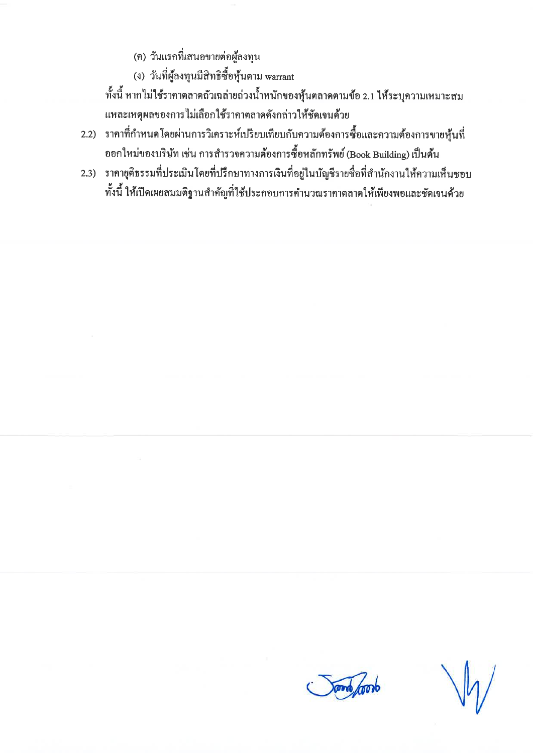(ค) วันแรกที่เสนอขายต่อผู้ลงทุน

(ง) วันที่ผู้ลงทุนมีสิทธิซื้อหุ้นตาม warrant

ทั้งนี้ หากไม่ใช้ราคาตลาดถั่วเฉล่ายถ่วงน้ำหนักของหุ้นตลาดตามข้อ 2.1 ให้ระบุความเหมาะสม แหละเหตุผลของการไม่เลือกใช้ราคาตลาดดังกล่าวให้ชัดเจนด้วย

- 2.2) ราคาที่กำหนดโดยผ่านการวิเคราะห์เปรียบเทียบกับความต้องการซื้อและความต้องการขายหุ้นที่ ออกใหม่ของบริษัท เช่น การสำรวจความต้องการซื้อหลักทรัพย์ (Book Building) เป็นต้น
- 2.3) ราคาขุติธรรมที่ประเมินโดยที่ปรึกษาทางการเงินที่อยู่ในบัญชีรายชื่อที่สำนักงานให้ความเห็นชอบ ทั้งนี้ ให้เปิดเผยสมมติฐานสำคัญที่ใช้ประกอบการคำนวณราคาตลาดให้เพียงพอและชัดเจนด้วย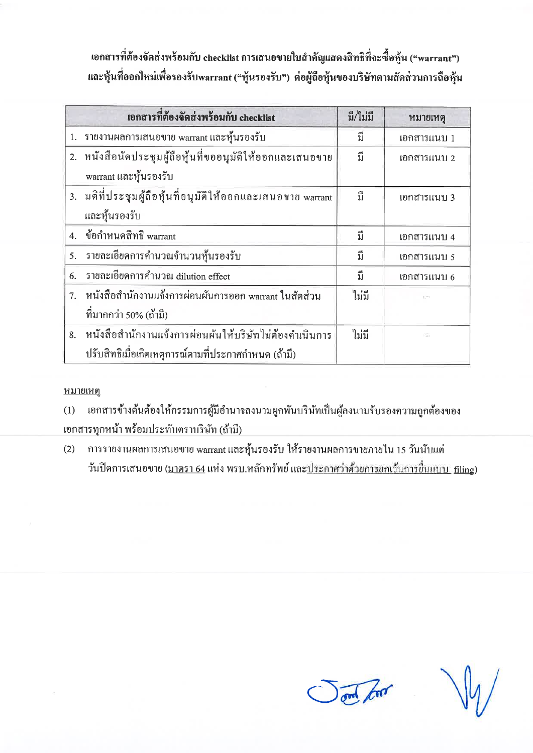เอกสารที่ต้องจัดส่งพร้อมกับ checklist การเสนอขายใบสำคัญแสดงสิทธิที่จะซื้อหุ้น ("warrant") และหุ้นที่ออกใหม่เพื่อรองรับwarrant ("หุ้นรองรับ") ต่อผู้ถือหุ้นของบริษัทตามสัดส่วนการถือหุ้น

|    | เอกสารที่ต้องจัดส่งพร้อมกับ checklist                       | มี/ไม่มี | หมายเหตุ    |
|----|-------------------------------------------------------------|----------|-------------|
|    | 1. รายงานผลการเสนอขาย warrant และหุ้นรองรับ                 | ู้ปี     | เอกสารแนบ 1 |
|    | 2. หนังสือนัดประชุมผู้ถือหุ้นที่ขออนุมัติให้ออกและเสนอขาย   | ู้กึ     | เอกสารแนบ 2 |
|    | warrant และหุ้นรองรับ                                       |          |             |
|    | 3. มติที่ประชุมผู้ถือหุ้นที่อนุมัติให้ออกและเสนอขาย warrant | ู้กี     | เอกสารแนบ 3 |
|    | และหุ้นรองรับ                                               |          |             |
|    | 4. ข้อกำหนดสิทธิ warrant                                    | ู้นี     | เอกสารแนบ 4 |
| 5. | รายละเอียดการคำนวณจำนวนหุ้นรองรับ                           | ู้มี     | เอกสารแนบ 5 |
| 6. | รายละเอียดการคำนวณ dilution effect                          | ู้บี     | เอกสารแนบ 6 |
| 7. | หนังสือสำนักงานแจ้งการผ่อนผันการออก warrant ในสัดส่วน       | ไม่มี    |             |
|    | ที่มากกว่า 50% (ถ้ามี)                                      |          |             |
| 8. | หนังสือสำนักงานแจ้งการผ่อนผันให้บริษัทไม่ต้องคำเนินการ      | ไม่มี    |             |
|    | ปรับสิทธิเมื่อเกิดเหตุการณ์ตามที่ประกาศกำหนด (ถ้ามี)        |          |             |

#### <u>หมายเหตุ</u>

เอกสารข้างค้นต้องให้กรรมการผู้มีอำนาจลงนามผูกพันบริษัทเป็นผู้ลงนามรับรองความถูกต้องของ  $(1)$ เอกสารทุกหน้า พร้อมประทับตราบริษัท (ถ้ามี)

การรายงานผลการเสนอขาย warrant และหุ้นรองรับ ให้รายงานผลการขายภายใน 15 วันนับแต่  $(2)$ ้วันปิดการเสนอขาย (<u>มาตรา 64</u> แห่ง พรบ.หลักทรัพย์ และ<u>ประกาศว่าด้วยการยกเว้นการขึ้นแบบ filin</u>g)

and find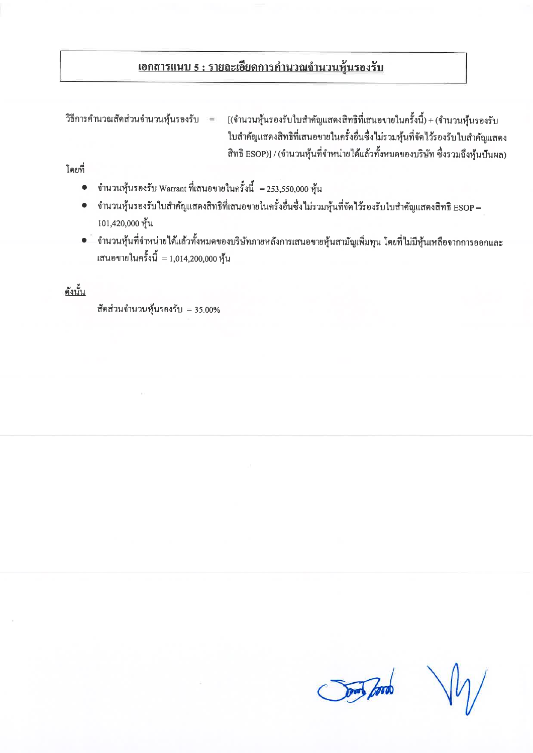# <u> เอกสารแนบ 5 : รายละเอียดการคำนวณจำนวนหุ้นรองรับ</u>

วิธีการคำนวณสัดส่วนจำนวนหุ้นรองรับ =

[(จำนวนหุ้นรองรับใบสำคัญแสดงสิทธิที่เสนอขายในครั้งนี้) + (จำนวนหุ้นรองรับ ใบสำคัญแสดงสิทธิที่เสนอขายในครั้งอื่นซึ่งไม่รวมหุ้นที่จัดไว้รองรับใบสำคัญแสดง สิทธิ ESOP)] / (จำนวนหุ้นที่จำหน่ายได้แล้วทั้งหมดของบริษัท ซึ่งรวมถึงหุ้นปันผล)

โดยที่

- $\bullet$  ถำนวนหุ้นรองรับ Warrant ที่เสนอขายในครั้งนี้  $=$  253,550,000 หุ้น
- จำนวนหุ้นรองรับใบสำคัญแสดงสิทธิที่เสนอขายในครั้งอื่นซึ่งไม่รวมหุ้นที่จัดไว้รองรับใบสำคัญแสดงสิทธิ ESOP = 101,420,000 หุ้น
- จำนวนหุ้นที่จำหน่ายใด้แล้วทั้งหมดของบริษัทภายหลังการเสนอขายหุ้นสามัญเพิ่มทุน โดยที่ไม่มีหุ้นเหลือจากการออกและ เสนอขายในครั้งนี้ $= 1,014,200,000$  หุ้น

ดังนั้น

สัคส่วนจำนวนหุ้นรองรับ = 35.00%

**Sony Jord**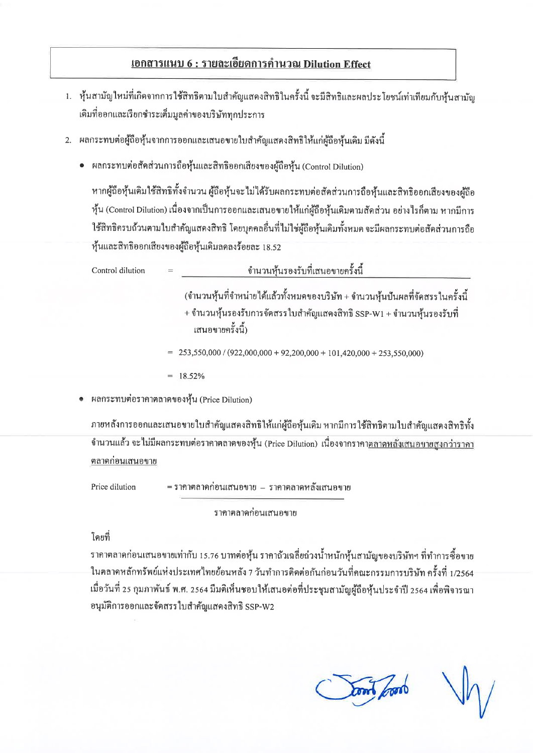## เอกสารแนบ 6 : รายละเอียดการคำนวณ Dilution Effect

- 1. หุ้นสามัญใหม่ที่เกิดจากการใช้สิทธิตามใบสำคัญแสคงสิทธิในครั้งนี้ จะมีสิทธิและผลประโยชน์เท่าเทียมกับหุ้นสามัญ เดิมที่ออกและเรียกชำระเต็มมูลค่าของบริษัททุกประการ
- 2. ผลกระทบต่อผู้ถือหุ้นจากการออกและเสนอขายใบสำคัญแสดงสิทธิให้แก่ผู้ถือหุ้นเดิม มีดังนี้
	- ผลกระทบต่อสัดส่วนการถือหุ้นและสิทธิออกเสียงของผู้ถือหุ้น (Control Dilution)

หากผู้ถือหุ้นเดิมใช้สิทธิทั้งจำนวน ผู้ถือหุ้นจะไม่ได้รับผลกระทบต่อสัดส่วนการถือหุ้นและสิทธิออกเสียงของผู้ถือ หุ้น (Control Dilution) เนื่องจากเป็นการออกและเสนอขายให้แก่ผู้ถือหุ้นเดิมตามสัดส่วน อย่างไรก็ตาม หากมีการ ใช้สิทธิครบถ้วนตามใบสำคัญแสคงสิทธิ โคยบุคคลอื่นที่ไม่ใช่ผู้ถือหุ้นเคิมทั้งหมด จะมีผลกระทบต่อสัดส่วนการถือ หุ้นและสิทธิออกเสียงของผู้ถือหุ้นเดิมลดลงร้อยละ 18.52

| Control dilution | ู จำนวนหุ้นรองรับที่เสนอขายครั้งนี้<br>$=$                                                                                                                                    |
|------------------|-------------------------------------------------------------------------------------------------------------------------------------------------------------------------------|
|                  | (จำนวนหุ้นที่จำหน่ายได้แล้วทั้งหมดของบริษัท + จำนวนหุ้นปันผลที่จัดสรรในครั้งนี้<br>+ จำนวนหุ้นรองรับการจัดสรรใบสำคัญแสดงสิทธิ SSP-W1 + จำนวนหุ้นรองรับที่<br>เสนอขายครั้งนี้) |
|                  | $= 253,550,000 / (922,000,000 + 92,200,000 + 101,420,000 + 253,550,000)$                                                                                                      |
|                  | $= 18.52\%$                                                                                                                                                                   |

• ผลกระทบต่อราคาตลาดของหุ้น (Price Dilution)

ภายหลังการออกและเสนอขายใบสำคัญแสคงสิทธิให้แก่ผู้ถือหุ้นเคิม หากมีการใช้สิทธิตามใบสำคัญแสคงสิทธิทั้ง ึ จำนวนแล้ว จะไม่มีผลกระทบต่อราคาตลาดของหุ้น (Price Dilution) เนื่องจากราคา<u>ตลาดหลังเสนอขายสง</u>กว่ารากา ตลาดก่อนเสนอขาย

Price dilution

= รากาตลาดก่อนเสนอขาย – รากาตลาดหลังเสนอขาย

ราคาตลาดก่อนเสนอขาย

### โดยที่

รากาตลาดก่อนเสนอขายเท่ากับ 15.76 บาทต่อหุ้น รากาถั่วเฉลี่ยถ่วงน้ำหนักหุ้นสามัญของบริษัทฯ ที่ทำการซื้อขาย ในตลาดหลักทรัพย์แห่งประเทศใทยย้อนหลัง 7 วันทำการติดต่อกันก่อนวันที่คณะกรรมการบริษัท ครั้งที่ 1/2564 เมื่อวันที่ 25 กุมภาพันธ์ พ.ศ. 2564 มีมติเห็นชอบให้เสนอต่อที่ประชุมสามัญผู้ถือหุ้นประจำปี 2564 เพื่อพิจารณา อนุมัติการออกและจัดสรรใบสำคัญแสดงสิทธิ SSP-W2